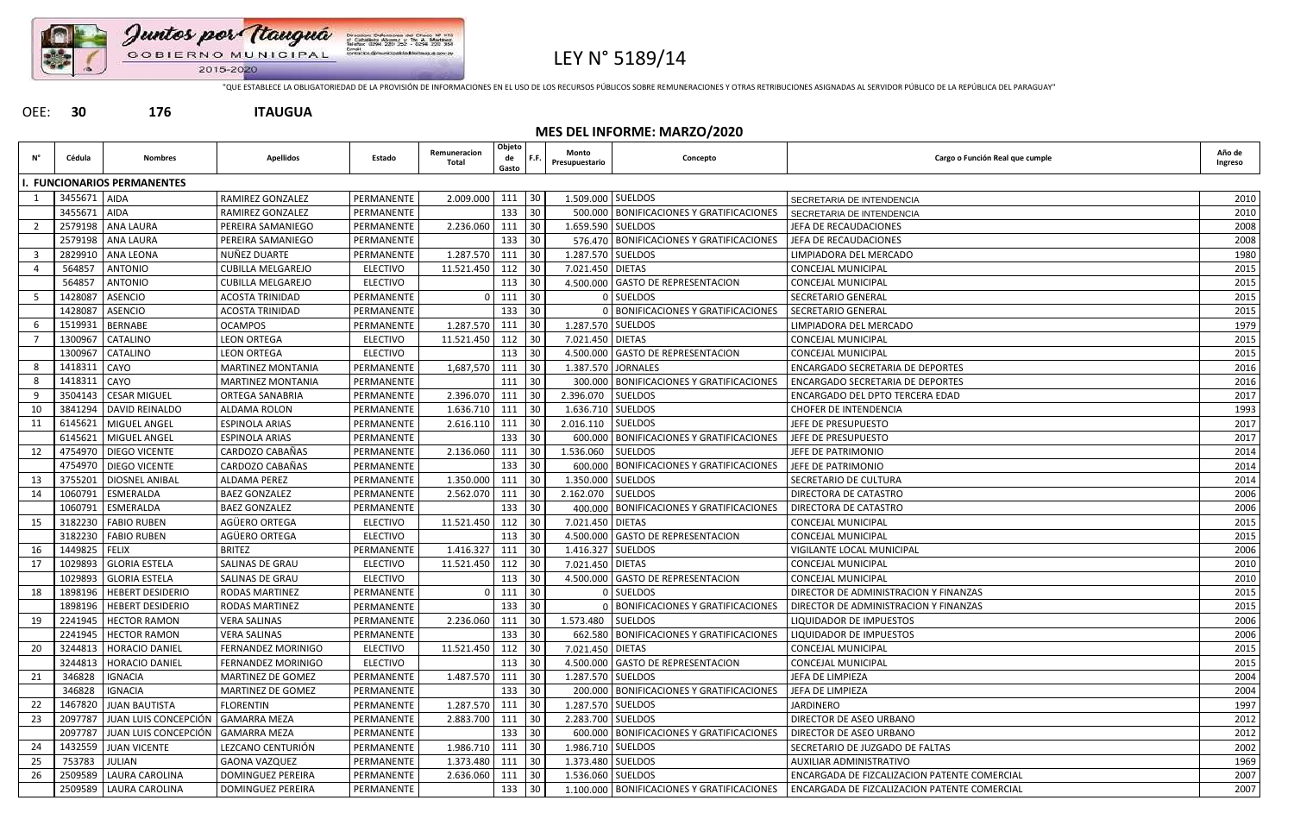

## LEY N° 5189/14

"QUE ESTABLECE LA OBLIGATORIEDAD DE LA PROVISIÓN DE INFORMACIONES EN EL USO DE LOS RECURSOS PÚBLICOS SOBRE REMUNERACIONES Y OTRAS RETRIBUCIONES ASIGNADAS AL SERVIDOR PÚBLICO DE LA REPÚBLICA DEL PARAGUAY"

## OEE: **30 176 ITAUGUA**

|     | <b>MES DEL INFORME: MARZO/2020</b> |                                     |                          |                 |                              |                       |                                          |                         |                                            |                                              |                   |  |  |
|-----|------------------------------------|-------------------------------------|--------------------------|-----------------|------------------------------|-----------------------|------------------------------------------|-------------------------|--------------------------------------------|----------------------------------------------|-------------------|--|--|
| Ν°  | Cédula                             | <b>Nombres</b>                      | <b>Apellidos</b>         | Estado          | Remuneracion<br><b>Total</b> | Objeto<br>de<br>Gasto |                                          | Monto<br>Presupuestario | Concepto                                   | Cargo o Función Real que cumple              | Año de<br>Ingreso |  |  |
|     |                                    | . FUNCIONARIOS PERMANENTES          |                          |                 |                              |                       |                                          |                         |                                            |                                              |                   |  |  |
|     | 3455671 AIDA                       |                                     | RAMIREZ GONZALEZ         | PERMANENTE      | 2.009.000                    | 111                   | $\begin{array}{c} 30 \\ -30 \end{array}$ | 1.509.000 SUELDOS       |                                            | SECRETARIA DE INTENDENCIA                    | 2010              |  |  |
|     | 3455671 AIDA                       |                                     | RAMIREZ GONZALEZ         | PERMANENTE      |                              | 133                   | 30                                       |                         | 500.000 BONIFICACIONES Y GRATIFICACIONES   | SECRETARIA DE INTENDENCIA                    | 2010              |  |  |
|     | 2579198                            | ANA LAURA                           | PEREIRA SAMANIEGO        | PERMANENTE      | 2.236.060                    | 111                   | 30                                       |                         | 1.659.590 SUELDOS                          | JEFA DE RECAUDACIONES                        | 2008              |  |  |
|     | 2579198                            | <b>ANA LAURA</b>                    | PEREIRA SAMANIEGO        | PERMANENTE      |                              | 133                   | 30                                       |                         | 576.470 BONIFICACIONES Y GRATIFICACIONES   | JEFA DE RECAUDACIONES                        | 2008              |  |  |
| - 3 | 2829910                            | ANA LEONA                           | NUÑEZ DUARTE             | PERMANENTE      | 1.287.570                    | 111                   | 30                                       |                         | 1.287.570 SUELDOS                          | LIMPIADORA DEL MERCADO                       | 1980              |  |  |
|     | 564857                             | <b>ANTONIO</b>                      | <b>CUBILLA MELGAREJO</b> | <b>ELECTIVO</b> | 11.521.450                   | 112                   | 30                                       | 7.021.450 DIETAS        |                                            | CONCEJAL MUNICIPAL                           | 2015              |  |  |
|     | 564857                             | <b>ANTONIO</b>                      | <b>CUBILLA MELGAREJO</b> | <b>ELECTIVO</b> |                              | 113                   | 30                                       |                         | 4.500.000 GASTO DE REPRESENTACION          | CONCEJAL MUNICIPAL                           | 2015              |  |  |
| - 5 | 1428087                            | <b>ASENCIO</b>                      | <b>ACOSTA TRINIDAD</b>   | PERMANENTE      |                              | 111                   | 30                                       |                         | 0 SUELDOS                                  | SECRETARIO GENERAL                           | 2015              |  |  |
|     | 1428087                            | <b>ASENCIO</b>                      | <b>ACOSTA TRINIDAD</b>   | PERMANENTE      |                              | 133                   | 30                                       |                         | 0 BONIFICACIONES Y GRATIFICACIONES         | <b>SECRETARIO GENERAL</b>                    | 2015              |  |  |
|     | 1519931                            | <b>BERNABE</b>                      | <b>OCAMPOS</b>           | PERMANENTE      | 1.287.570                    | 111                   | 30                                       |                         | 1.287.570 SUELDOS                          | LIMPIADORA DEL MERCADO                       | 1979              |  |  |
|     | 1300967                            | CATALINO                            | <b>LEON ORTEGA</b>       | <b>ELECTIVO</b> | 11.521.450                   | 112                   | 30                                       | 7.021.450 DIETAS        |                                            | <b>CONCEJAL MUNICIPAL</b>                    | 2015              |  |  |
|     | 1300967                            | <b>CATALINO</b>                     | <b>LEON ORTEGA</b>       | <b>ELECTIVO</b> |                              | 113                   | 30                                       |                         | 4.500.000 GASTO DE REPRESENTACION          | CONCEJAL MUNICIPAL                           | 2015              |  |  |
|     | 1418311                            | <b>CAYO</b>                         | <b>MARTINEZ MONTANIA</b> | PERMANENTE      | 1,687,570                    | 111                   | 30                                       |                         | 1.387.570 JORNALES                         | <b>ENCARGADO SECRETARIA DE DEPORTES</b>      | 2016              |  |  |
| 8   | 1418311                            | CAYO                                | <b>MARTINEZ MONTANIA</b> | PERMANENTE      |                              | 111                   | 30                                       |                         | 300.000 BONIFICACIONES Y GRATIFICACIONES   | <b>ENCARGADO SECRETARIA DE DEPORTES</b>      | 2016              |  |  |
| 9   | 3504143                            | <b>CESAR MIGUEL</b>                 | <b>ORTEGA SANABRIA</b>   | PERMANENTE      | 2.396.070                    | 111                   | 30                                       | 2.396.070 SUELDOS       |                                            | ENCARGADO DEL DPTO TERCERA EDAD              | 2017              |  |  |
| 10  | 3841294                            | DAVID REINALDO                      | ALDAMA ROLON             | PERMANENTE      | 1.636.710                    | 111 30                |                                          | 1.636.710 SUELDOS       |                                            | <b>CHOFER DE INTENDENCIA</b>                 | 1993              |  |  |
| -11 | 6145621                            | MIGUEL ANGEL                        | <b>ESPINOLA ARIAS</b>    | PERMANENTE      | 2.616.110                    | 111                   | 30                                       | 2.016.110 SUELDOS       |                                            | JEFE DE PRESUPUESTO                          | 2017              |  |  |
|     | 6145621                            | MIGUEL ANGEL                        | <b>ESPINOLA ARIAS</b>    | PERMANENTE      |                              | 133                   | 30                                       |                         | 600.000 BONIFICACIONES Y GRATIFICACIONES   | JEFE DE PRESUPUESTO                          | 2017              |  |  |
| 12  | 4754970                            | <b>DIEGO VICENTE</b>                | CARDOZO CABAÑAS          | PERMANENTE      | 2.136.060                    | 111                   | 30 <sup>°</sup>                          | 1.536.060               | <b>SUELDOS</b>                             | JEFE DE PATRIMONIO                           | 2014              |  |  |
|     | 4754970                            | <b>DIEGO VICENTE</b>                | CARDOZO CABAÑAS          | PERMANENTE      |                              | 133                   | 30                                       |                         | 600.000 BONIFICACIONES Y GRATIFICACIONES   | JEFE DE PATRIMONIO                           | 2014              |  |  |
| 13  | 3755201                            | <b>DIOSNEL ANIBAL</b>               | ALDAMA PEREZ             | PERMANENTE      | 1.350.000                    | 111                   | 30                                       |                         | 1.350.000 SUELDOS                          | SECRETARIO DE CULTURA                        | 2014              |  |  |
| 14  | 1060791                            | ESMERALDA                           | <b>BAEZ GONZALEZ</b>     | PERMANENTE      | 2.562.070                    | 111                   | 30                                       | 2.162.070 SUELDOS       |                                            | <b>DIRECTORA DE CATASTRO</b>                 | 2006              |  |  |
|     | 1060791                            | ESMERALDA                           | <b>BAEZ GONZALEZ</b>     | PERMANENTE      |                              | 133                   | 30                                       |                         | 400.000 BONIFICACIONES Y GRATIFICACIONES   | DIRECTORA DE CATASTRO                        | 2006              |  |  |
| 15  | 3182230                            | <b>FABIO RUBEN</b>                  | AGÜERO ORTEGA            | <b>ELECTIVO</b> | 11.521.450                   | 112                   | 30                                       | 7.021.450 DIETAS        |                                            | CONCEJAL MUNICIPAL                           | 2015              |  |  |
|     | 3182230                            | <b>FABIO RUBEN</b>                  | AGÜERO ORTEGA            | <b>ELECTIVO</b> |                              | 113                   | 30                                       |                         | 4.500.000 GASTO DE REPRESENTACION          | <b>CONCEJAL MUNICIPAL</b>                    | 2015              |  |  |
| 16  | 1449825                            | <b>FELIX</b>                        | <b>BRITEZ</b>            | PERMANENTE      | 1.416.327                    | 111                   | 30                                       |                         | 1.416.327 SUELDOS                          | VIGILANTE LOCAL MUNICIPAL                    | 2006              |  |  |
| 17  | 1029893                            | <b>GLORIA ESTELA</b>                | SALINAS DE GRAU          | <b>ELECTIVO</b> | 11.521.450                   | 112                   | 30                                       | 7.021.450 DIETAS        |                                            | CONCEJAL MUNICIPAL                           | 2010              |  |  |
|     | 1029893                            | <b>GLORIA ESTELA</b>                | SALINAS DE GRAU          | ELECTIVO        |                              | 113                   | 30                                       |                         | 4.500.000 GASTO DE REPRESENTACION          | CONCEJAL MUNICIPAL                           | 2010              |  |  |
| 18  | 1898196                            | <b>HEBERT DESIDERIO</b>             | <b>RODAS MARTINEZ</b>    | PERMANENTE      |                              | 111                   | 30                                       |                         | 0 SUELDOS                                  | DIRECTOR DE ADMINISTRACION Y FINANZAS        | 2015              |  |  |
|     |                                    | 1898196   HEBERT DESIDERIO          | <b>RODAS MARTINEZ</b>    | PERMANENTE      |                              | 133 30                |                                          |                         | 0   BONIFICACIONES Y GRATIFICACIONES       | DIRECTOR DE ADMINISTRACION Y FINANZAS        | 2015              |  |  |
| 19  | 2241945                            | <b>HECTOR RAMON</b>                 | <b>VERA SALINAS</b>      | PERMANENTE      | 2.236.060                    | 111 30                |                                          | 1.573.480 SUELDOS       |                                            | LIQUIDADOR DE IMPUESTOS                      | 2006              |  |  |
|     |                                    | 2241945   HECTOR RAMON              | <b>VERA SALINAS</b>      | PERMANENTE      |                              | 133                   | 30                                       |                         | 662.580 BONIFICACIONES Y GRATIFICACIONES   | LIQUIDADOR DE IMPUESTOS                      | 2006              |  |  |
| 20  | 3244813                            | <b>HORACIO DANIEL</b>               | FERNANDEZ MORINIGO       | ELECTIVO        | 11.521.450                   | 112                   | 30                                       | 7.021.450 DIETAS        |                                            | <b>CONCEJAL MUNICIPAL</b>                    | 2015              |  |  |
|     | 3244813                            | <b>HORACIO DANIEL</b>               | FERNANDEZ MORINIGO       | <b>ELECTIVO</b> |                              | 113                   | 30                                       |                         | 4.500.000 GASTO DE REPRESENTACION          | CONCEJAL MUNICIPAL                           | 2015              |  |  |
| 21  | 346828                             | <b>IGNACIA</b>                      | MARTINEZ DE GOMEZ        | PERMANENTE      | 1.487.570                    | 111                   | 30                                       | 1.287.570 SUELDOS       |                                            | JEFA DE LIMPIEZA                             | 2004              |  |  |
|     | 346828                             | <b>IGNACIA</b>                      | MARTINEZ DE GOMEZ        | PERMANENTE      |                              | 133                   | 30                                       |                         | 200.000   BONIFICACIONES Y GRATIFICACIONES | JEFA DE LIMPIEZA                             | 2004              |  |  |
| 22  | 1467820                            | <b>JUAN BAUTISTA</b>                | <b>FLORENTIN</b>         | PERMANENTE      | 1.287.570                    | 111                   | 30                                       |                         | 1.287.570 SUELDOS                          | JARDINERO                                    | 1997              |  |  |
| 23  | 2097787                            | JUAN LUIS CONCEPCIÓN                | <b>GAMARRA MEZA</b>      | PERMANENTE      | 2.883.700                    | 111                   | 30                                       | 2.283.700 SUELDOS       |                                            | <b>DIRECTOR DE ASEO URBANO</b>               | 2012              |  |  |
|     | 2097787                            | JUAN LUIS CONCEPCIÓN   GAMARRA MEZA |                          | PERMANENTE      |                              | $133 \mid 30$         |                                          |                         | 600.000 BONIFICACIONES Y GRATIFICACIONES   | <b>DIRECTOR DE ASEO URBANO</b>               | 2012              |  |  |
| 24  | 1432559                            | <b>JUAN VICENTE</b>                 | LEZCANO CENTURIÓN        | PERMANENTE      | 1.986.710                    | 111 30                |                                          | 1.986.710 SUELDOS       |                                            | SECRETARIO DE JUZGADO DE FALTAS              | 2002              |  |  |
| 25  | 753783                             | <b>JULIAN</b>                       | <b>GAONA VAZQUEZ</b>     | PERMANENTE      | 1.373.480                    | $111$ 30              |                                          | 1.373.480 SUELDOS       |                                            | AUXILIAR ADMINISTRATIVO                      | 1969              |  |  |
| 26  | 2509589                            | LAURA CAROLINA                      | DOMINGUEZ PEREIRA        | PERMANENTE      | 2.636.060                    | 111 30                |                                          |                         | 1.536.060 SUELDOS                          | ENCARGADA DE FIZCALIZACION PATENTE COMERCIAL | 2007              |  |  |
|     |                                    | 2509589 LAURA CAROLINA              | <b>DOMINGUEZ PEREIRA</b> | PERMANENTE      |                              | 133 30                |                                          |                         | 1.100.000 BONIFICACIONES Y GRATIFICACIONES | ENCARGADA DE FIZCALIZACION PATENTE COMERCIAL | 2007              |  |  |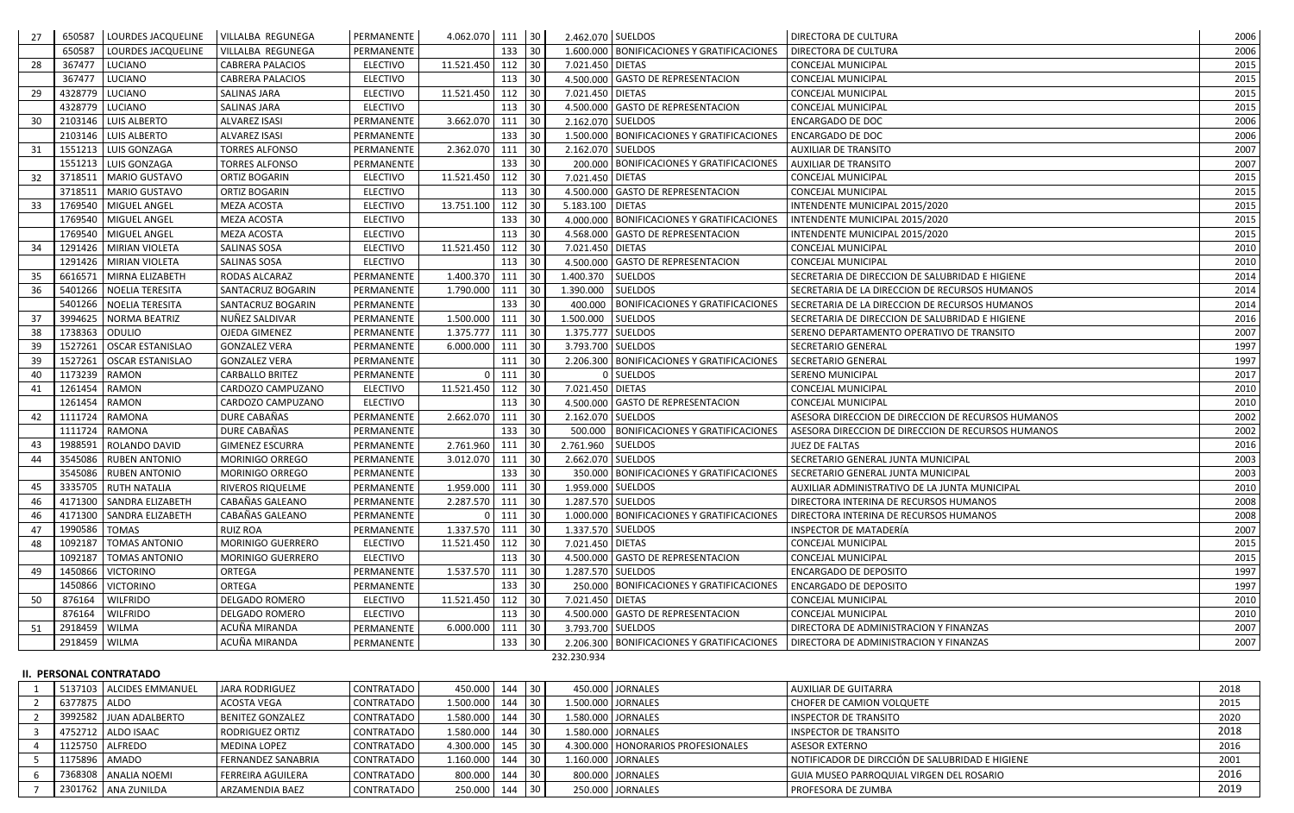| -27 | 650587        | LOURDES JACQUELINE       | <b>VILLALBA REGUNEGA</b> | PERMANENTE      | 4.062.070 111 30 |          |    | 2.462.070 SUELDOS |                                              | <b>DIRECTORA DE CULTURA</b>                        | 2006 |
|-----|---------------|--------------------------|--------------------------|-----------------|------------------|----------|----|-------------------|----------------------------------------------|----------------------------------------------------|------|
|     | 650587        | LOURDES JACQUELINE       | VILLALBA REGUNEGA        | PERMANENTE      |                  | 133      | 30 |                   | 1.600.000 BONIFICACIONES Y GRATIFICACIONES   | DIRECTORA DE CULTURA                               | 2006 |
| 28  | 367477        | <b>LUCIANO</b>           | <b>CABRERA PALACIOS</b>  | <b>ELECTIVO</b> | 11.521.450       | 112      | 30 | 7.021.450 DIETAS  |                                              | <b>CONCEJAL MUNICIPAL</b>                          | 2015 |
|     | 367477        | LUCIANO                  | <b>CABRERA PALACIOS</b>  | <b>ELECTIVO</b> |                  | 113      | 30 |                   | 4.500.000 GASTO DE REPRESENTACION            | CONCEJAL MUNICIPAL                                 | 2015 |
| 29  | 4328779       | LUCIANO                  | SALINAS JARA             | ELECTIVO        | 11.521.450 112   |          | 30 | 7.021.450 DIETAS  |                                              | CONCEJAL MUNICIPAL                                 | 2015 |
|     | 4328779       | LUCIANO                  | SALINAS JARA             | <b>ELECTIVO</b> |                  | 113      | 30 |                   | 4.500.000 GASTO DE REPRESENTACION            | CONCEJAL MUNICIPAL                                 | 2015 |
| 30  | 2103146       | <b>LUIS ALBERTO</b>      | <b>ALVAREZ ISASI</b>     | PERMANENTE      | 3.662.070 111    |          | 30 | 2.162.070 SUELDOS |                                              | <b>ENCARGADO DE DOC</b>                            | 2006 |
|     | 2103146       | <b>LUIS ALBERTO</b>      | <b>ALVAREZ ISASI</b>     | PERMANENTE      |                  | 133      | 30 |                   | 1.500.000 BONIFICACIONES Y GRATIFICACIONES   | <b>ENCARGADO DE DOC</b>                            | 2006 |
| 31  | 1551213       | LUIS GONZAGA             | <b>TORRES ALFONSO</b>    | PERMANENTE      | 2.362.070        | 111      | 30 | 2.162.070 SUELDOS |                                              | <b>AUXILIAR DE TRANSITO</b>                        | 2007 |
|     |               | 1551213 LUIS GONZAGA     | <b>TORRES ALFONSO</b>    | PERMANENTE      |                  | 133      | 30 |                   | 200.000 BONIFICACIONES Y GRATIFICACIONES     | <b>AUXILIAR DE TRANSITO</b>                        | 2007 |
| 32  | 3718511       | MARIO GUSTAVO            | ORTIZ BOGARIN            | <b>ELECTIVO</b> | 11.521.450       | 112      | 30 | 7.021.450 DIETAS  |                                              | CONCEJAL MUNICIPAL                                 | 2015 |
|     |               | 3718511   MARIO GUSTAVO  | ORTIZ BOGARIN            | ELECTIVO        |                  | 113      | 30 |                   | 4.500.000 GASTO DE REPRESENTACION            | CONCEJAL MUNICIPAL                                 | 2015 |
| -33 | 1769540       | MIGUEL ANGEL             | <b>MEZA ACOSTA</b>       | <b>ELECTIVO</b> | 13.751.100       | 112      | 30 | 5.183.100 DIETAS  |                                              | INTENDENTE MUNICIPAL 2015/2020                     | 2015 |
|     |               | 1769540   MIGUEL ANGEL   | <b>MEZA ACOSTA</b>       | <b>ELECTIVO</b> |                  | 133      | 30 |                   | 4.000.000 BONIFICACIONES Y GRATIFICACIONES   | INTENDENTE MUNICIPAL 2015/2020                     | 2015 |
|     | 1769540       | MIGUEL ANGEL             | <b>MEZA ACOSTA</b>       | <b>ELECTIVO</b> |                  | 113      | 30 |                   | 4.568.000 GASTO DE REPRESENTACION            | INTENDENTE MUNICIPAL 2015/2020                     | 2015 |
| 34  | 1291426       | <b>MIRIAN VIOLETA</b>    | SALINAS SOSA             | <b>ELECTIVO</b> | 11.521.450       | 112      | 30 | 7.021.450 DIETAS  |                                              | CONCEJAL MUNICIPAL                                 | 2010 |
|     | 1291426       | <b>MIRIAN VIOLETA</b>    | <b>SALINAS SOSA</b>      | <b>ELECTIVO</b> |                  | 113      | 30 |                   | 4.500.000 GASTO DE REPRESENTACION            | CONCEJAL MUNICIPAL                                 | 2010 |
| 35  | 6616571       | MIRNA ELIZABETH          | RODAS ALCARAZ            | PERMANENTE      | 1.400.370        | 111      | 30 | 1.400.370         | <b>SUELDOS</b>                               | SECRETARIA DE DIRECCION DE SALUBRIDAD E HIGIENE    | 2014 |
| -36 | 5401266       | NOELIA TERESITA          | SANTACRUZ BOGARIN        | PERMANENTE      | 1.790.000        | 111      | 30 | 1.390.000         | <b>SUELDOS</b>                               | SECRETARIA DE LA DIRECCION DE RECURSOS HUMANOS     | 2014 |
|     | 5401266       | NOELIA TERESITA          | SANTACRUZ BOGARIN        | PERMANENTE      |                  | 133      | 30 |                   | 400.000 BONIFICACIONES Y GRATIFICACIONES     | SECRETARIA DE LA DIRECCION DE RECURSOS HUMANOS     | 2014 |
| 37  | 3994625       | <b>NORMA BEATRIZ</b>     | NUÑEZ SALDIVAR           | PERMANENTE      | 1.500.000        | 111      | 30 | 1.500.000         | <b>SUELDOS</b>                               | SECRETARIA DE DIRECCION DE SALUBRIDAD E HIGIENE    | 2016 |
| 38  | 1738363       | ODULIO                   | OJEDA GIMENEZ            | PERMANENTE      | 1.375.777        | 111      | 30 | 1.375.777 SUELDOS |                                              | SERENO DEPARTAMENTO OPERATIVO DE TRANSITO          | 2007 |
| 39  | 1527261       | <b>OSCAR ESTANISLAO</b>  | <b>GONZALEZ VERA</b>     | PERMANENTE      | 6.000.000        | 111      | 30 | 3.793.700 SUELDOS |                                              | <b>SECRETARIO GENERAL</b>                          | 1997 |
| 39  | 1527261       | <b>OSCAR ESTANISLAO</b>  | <b>GONZALEZ VERA</b>     | PERMANENTE      |                  | 111      | 30 |                   | 2.206.300 BONIFICACIONES Y GRATIFICACIONES   | <b>SECRETARIO GENERAL</b>                          | 1997 |
| 40  | 1173239       | <b>RAMON</b>             | <b>CARBALLO BRITEZ</b>   | PERMANENTE      |                  | 111      | 30 |                   | 0 SUELDOS                                    | SERENO MUNICIPAL                                   | 2017 |
| 41  | 1261454       | <b>RAMON</b>             | CARDOZO CAMPUZANO        | <b>ELECTIVO</b> | 11.521.450       | 112      | 30 | 7.021.450 DIETAS  |                                              | CONCEJAL MUNICIPAL                                 | 2010 |
|     | 1261454       | <b>RAMON</b>             | CARDOZO CAMPUZANO        | <b>ELECTIVO</b> |                  | 113      | 30 |                   | 4.500.000 GASTO DE REPRESENTACION            | CONCEJAL MUNICIPAL                                 | 2010 |
| 42  | 1111724       | <b>RAMONA</b>            | DURE CABAÑAS             | PERMANENTE      | 2.662.070        | 111      | 30 | 2.162.070 SUELDOS |                                              | ASESORA DIRECCION DE DIRECCION DE RECURSOS HUMANOS | 2002 |
|     |               | 1111724 RAMONA           | DURE CABAÑAS             | PERMANENTE      |                  | 133      | 30 |                   | 500.000   BONIFICACIONES Y GRATIFICACIONES   | ASESORA DIRECCION DE DIRECCION DE RECURSOS HUMANOS | 2002 |
| 43  | 1988591       | ROLANDO DAVID            | <b>GIMENEZ ESCURRA</b>   | PERMANENTE      | 2.761.960        | 111      | 30 | 2.761.960 SUELDOS |                                              | JUEZ DE FALTAS                                     | 2016 |
| 44  | 3545086       | <b>RUBEN ANTONIO</b>     | <b>MORINIGO ORREGO</b>   | PERMANENTE      | 3.012.070 111    |          | 30 | 2.662.070 SUELDOS |                                              | SECRETARIO GENERAL JUNTA MUNICIPAL                 | 2003 |
|     | 3545086       | <b>RUBEN ANTONIO</b>     | MORINIGO ORREGO          | PERMANENTE      |                  | 133      | 30 |                   | 350.000 BONIFICACIONES Y GRATIFICACIONES     | SECRETARIO GENERAL JUNTA MUNICIPAL                 | 2003 |
| 45  |               | 3335705 RUTH NATALIA     | RIVEROS RIQUELME         | PERMANENTE      | 1.959.000 111    |          | 30 | 1.959.000 SUELDOS |                                              | AUXILIAR ADMINISTRATIVO DE LA JUNTA MUNICIPAL      | 2010 |
| 46  |               | 4171300 SANDRA ELIZABETH | CABAÑAS GALEANO          | PERMANENTE      | 2.287.570 111 30 |          |    | 1.287.570 SUELDOS |                                              | DIRECTORA INTERINA DE RECURSOS HUMANOS             | 2008 |
| 46  |               | 4171300 SANDRA ELIZABETH | CABAÑAS GALEANO          | PERMANENTE      | $\Omega$         | $111$ 30 |    |                   | 1.000.000 BONIFICACIONES Y GRATIFICACIONES   | DIRECTORA INTERINA DE RECURSOS HUMANOS             | 2008 |
| 47  | 1990586 TOMAS |                          | <b>RUIZ ROA</b>          | PERMANENTE      | 1.337.570 111    |          | 30 | 1.337.570 SUELDOS |                                              | INSPECTOR DE MATADERÍA                             | 2007 |
| 48  | 1092187       | <b>TOMAS ANTONIO</b>     | MORINIGO GUERRERO        | <b>ELECTIVO</b> | 11.521.450 112   |          | 30 | 7.021.450 DIETAS  |                                              | <b>CONCEJAL MUNICIPAL</b>                          | 2015 |
|     |               | 1092187   TOMAS ANTONIO  | MORINIGO GUERRERO        | <b>ELECTIVO</b> |                  | 113 30   |    |                   | 4.500.000 GASTO DE REPRESENTACION            | CONCEJAL MUNICIPAL                                 | 2015 |
| 49  | 1450866       | <b>VICTORINO</b>         | ORTEGA                   | PERMANENTE      | 1.537.570 111    |          | 30 | 1.287.570 SUELDOS |                                              | <b>ENCARGADO DE DEPOSITO</b>                       | 1997 |
|     | 1450866       | <b>VICTORINO</b>         | ORTEGA                   | PERMANENTE      |                  | 133      | 30 |                   | 250.000 BONIFICACIONES Y GRATIFICACIONES     | ENCARGADO DE DEPOSITO                              | 1997 |
| 50  | 876164        | <b>WILFRIDO</b>          | DELGADO ROMERO           | <b>ELECTIVO</b> | 11.521.450       | 112      | 30 | 7.021.450 DIETAS  |                                              | <b>CONCEJAL MUNICIPAL</b>                          | 2010 |
|     | 876164        | <b>WILFRIDO</b>          | <b>DELGADO ROMERO</b>    | <b>ELECTIVO</b> |                  | 113      | 30 |                   | 4.500.000 GASTO DE REPRESENTACION            | CONCEJAL MUNICIPAL                                 | 2010 |
| 51  | 2918459 WILMA |                          | ACUÑA MIRANDA            | PERMANENTE      | 6.000.000        | 111      | 30 | 3.793.700 SUELDOS |                                              | DIRECTORA DE ADMINISTRACION Y FINANZAS             | 2007 |
|     | 2918459 WILMA |                          | ACUÑA MIRANDA            | PERMANENTE      |                  | 133      | 30 |                   | 2.206.300   BONIFICACIONES Y GRATIFICACIONES | DIRECTORA DE ADMINISTRACION Y FINANZAS             | 2007 |
|     |               |                          |                          |                 |                  |          |    | 232.230.934       |                                              |                                                    |      |

## **II. PERSONAL CONTRATADO**

1 5137103 ALCIDES EMMANUEL JARA RODRIGUEZ CONTRATADO 450.000 144 30 450.000 JORNALES AUXILIAR DE GUITARRA 2 6377875 ALDO ACOSTA VEGA CONTRATADO 1.500.000 144 30 1.500.000 JORNALES CHOFER DE CAMION VOLQUETE 2 3992582 JUAN ADALBERTO BENITEZ GONZALEZ (CONTRATADO 1.580.000 144 30 1.580.000 JORNALES INSPECTOR DE TRANSITO 2020 | 2020 3 4752712 ALDO ISAAC RODRIGUEZ ORTIZ CONTRATADO 1.580.000 144 30 1.580.000 JORNALES INSPECTOR DE TRANSITO 2018 4 1125750 ALFREDO MEDINA LOPEZ CONTRATADO 4.300.000 145 30 4.300.000 HONORARIOS PROFESIONALES ASESOR EXTERNO 5 1175896 AMADO FERNANDEZ SANABRIA CONTRATADO 1.160.000 144 30 1.160.000 JORNALES NOTIFICADOR DE DIRCCIÓN DE SALUBRIDAD E HIGIENE 2001 144 201 6 7368308 ANALIA NOEMI FERREIRA AGUILERA (CONTRATADO 800.000 144 30 800.000 JORNALES GUIA MUSEO PARROQUIAL VIRGEN DI 7 2301762 ANA ZUNILDA ARZAMENDIA BAEZ (CONTRATADO 250.000 144 30 250.000 JORNALES PROFESORA DE ZUMBA 2019 2019

|                        | 2018 |
|------------------------|------|
|                        | 2015 |
|                        | 2020 |
|                        | 2018 |
|                        | 2016 |
| <b>RIDAD E HIGIENE</b> | 2001 |
| EL ROSARIO             | 2016 |
|                        | 2019 |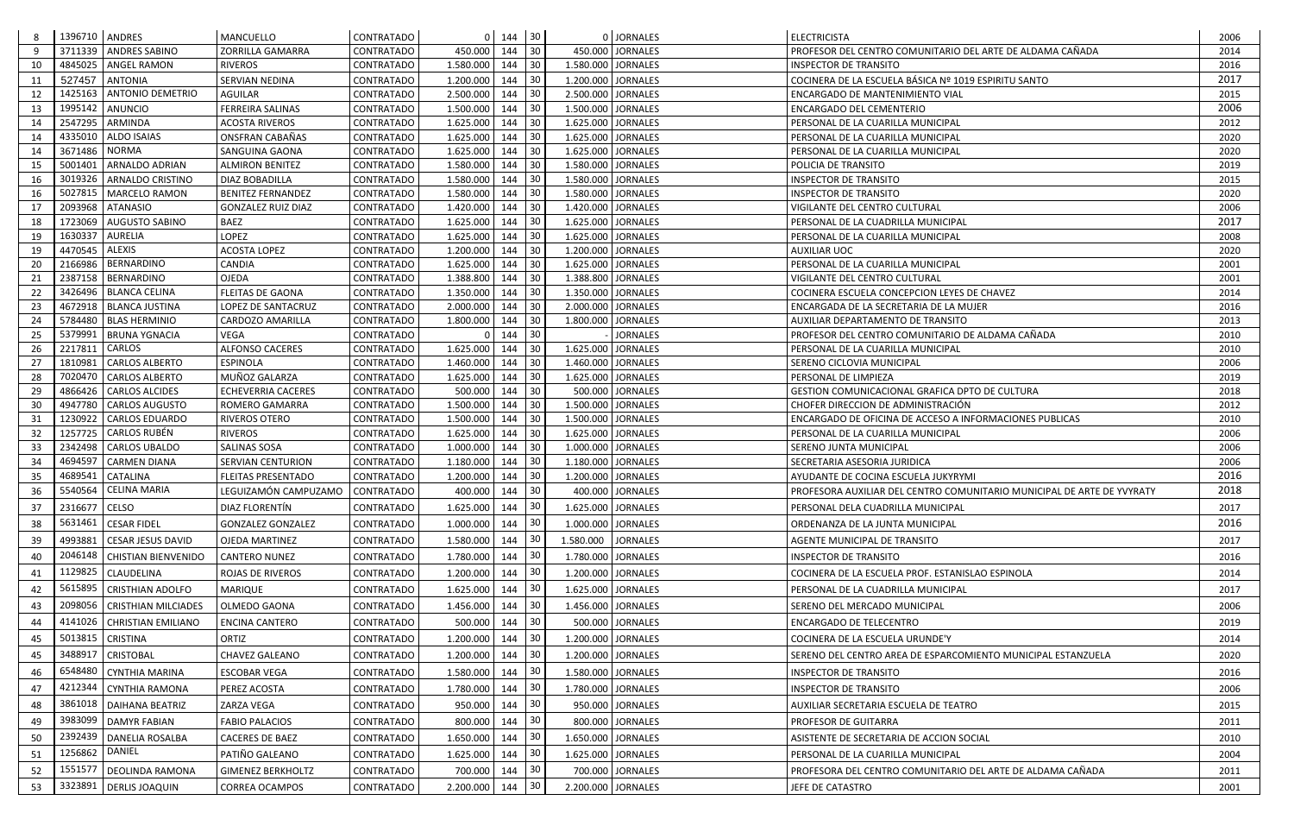|    | 1396710   ANDRES |                               | MANCUELLO                 | CONTRATADO        |                  | $0 \quad 144$ | 30  |                    | 0 JORNALES       | <b>ELECTRICISTA</b>                                                    | 2006 |
|----|------------------|-------------------------------|---------------------------|-------------------|------------------|---------------|-----|--------------------|------------------|------------------------------------------------------------------------|------|
| 9  | 3711339          | <b>ANDRES SABINO</b>          | ZORRILLA GAMARRA          | CONTRATADO        | 450.000          | 144           | 30  |                    | 450.000 JORNALES | PROFESOR DEL CENTRO COMUNITARIO DEL ARTE DE ALDAMA CAÑADA              | 2014 |
| 10 | 4845025          | <b>ANGEL RAMON</b>            | <b>RIVEROS</b>            | CONTRATADO        | 1.580.000        | 144           | 30  | 1.580.000 JORNALES |                  | <b>INSPECTOR DE TRANSITO</b>                                           | 2016 |
| 11 | 527457           | <b>ANTONIA</b>                | SERVIAN NEDINA            | <b>CONTRATADO</b> | 1.200.000        | 144           | 30  | 1.200.000 JORNALES |                  | COCINERA DE LA ESCUELA BÁSICA Nº 1019 ESPIRITU SANTO                   | 2017 |
| 12 |                  | 1425163   ANTONIO DEMETRIO    | <b>AGUILAR</b>            | <b>CONTRATADO</b> | 2.500.000        | 144           | 30  | 2.500.000 JORNALES |                  | ENCARGADO DE MANTENIMIENTO VIAL                                        | 2015 |
| 13 | 1995142          | ANUNCIO                       | <b>FERREIRA SALINAS</b>   | CONTRATADO        | 1.500.000        | 144           | 30  | 1.500.000 JORNALES |                  | ENCARGADO DEL CEMENTERIO                                               | 2006 |
| 14 | 2547295          | ARMINDA                       | <b>ACOSTA RIVEROS</b>     | CONTRATADO        | 1.625.000        | 144           | 30  | 1.625.000 JORNALES |                  | PERSONAL DE LA CUARILLA MUNICIPAL                                      | 2012 |
| 14 | 4335010          | <b>ALDO ISAIAS</b>            | ONSFRAN CABAÑAS           | <b>CONTRATADO</b> | 1.625.000        | 144           | 30  | 1.625.000 JORNALES |                  | PERSONAL DE LA CUARILLA MUNICIPAL                                      | 2020 |
| 14 | 3671486          | <b>NORMA</b>                  | SANGUINA GAONA            | CONTRATADO        | 1.625.000        | 144           | 30  | 1.625.000 JORNALES |                  | PERSONAL DE LA CUARILLA MUNICIPAL                                      | 2020 |
| 15 | 5001401          | <b>ARNALDO ADRIAN</b>         | <b>ALMIRON BENITEZ</b>    | CONTRATADO        | 1.580.000        | 144           | 30  | 1.580.000 JORNALES |                  | POLICIA DE TRANSITO                                                    | 2019 |
| 16 | 3019326          | ARNALDO CRISTINO              | DIAZ BOBADILLA            | CONTRATADO        | 1.580.000        | 144           | 30  | 1.580.000 JORNALES |                  | <b>INSPECTOR DE TRANSITO</b>                                           | 2015 |
| 16 | 5027815          | <b>MARCELO RAMON</b>          | <b>BENITEZ FERNANDEZ</b>  | CONTRATADO        | 1.580.000        | 144           | 30  | 1.580.000 JORNALES |                  | <b>INSPECTOR DE TRANSITO</b>                                           | 2020 |
| 17 | 2093968          | <b>ATANASIO</b>               | <b>GONZALEZ RUIZ DIAZ</b> | CONTRATADO        | 1.420.000        | 144           | 30  | 1.420.000 JORNALES |                  | VIGILANTE DEL CENTRO CULTURAL                                          | 2006 |
| 18 | 1723069          | <b>AUGUSTO SABINO</b>         | <b>BAEZ</b>               | <b>CONTRATADO</b> | 1.625.000        | 144           | 30  | 1.625.000 JORNALES |                  | PERSONAL DE LA CUADRILLA MUNICIPAL                                     | 2017 |
| 19 | 1630337          | <b>AURELIA</b>                | <b>LOPEZ</b>              | CONTRATADO        | 1.625.000        | 144           | 30  | 1.625.000 JORNALES |                  | PERSONAL DE LA CUARILLA MUNICIPAL                                      | 2008 |
| 19 | 4470545          | <b>ALEXIS</b>                 | <b>ACOSTA LOPEZ</b>       | CONTRATADO        | 1.200.000        | 144           | 30  | 1.200.000 JORNALES |                  | <b>AUXILIAR UOC</b>                                                    | 2020 |
| 20 | 2166986          | <b>BERNARDINO</b>             | CANDIA                    | CONTRATADO        | 1.625.000        | 144           | 30  | 1.625.000 JORNALES |                  | PERSONAL DE LA CUARILLA MUNICIPAL                                      | 2001 |
| 21 |                  | 2387158   BERNARDINO          | OJEDA                     | CONTRATADO        | 1.388.800        | 144           | 30  | 1.388.800 JORNALES |                  | VIGILANTE DEL CENTRO CULTURAL                                          | 2001 |
| 22 |                  | 3426496 BLANCA CELINA         | <b>FLEITAS DE GAONA</b>   | CONTRATADO        | 1.350.000        | 144           | 30  | 1.350.000 JORNALES |                  | COCINERA ESCUELA CONCEPCION LEYES DE CHAVEZ                            | 2014 |
| 23 |                  | 4672918   BLANCA JUSTINA      | LOPEZ DE SANTACRUZ        | CONTRATADO        | 2.000.000        | 144           | 30  | 2.000.000 JORNALES |                  | ENCARGADA DE LA SECRETARIA DE LA MUJER                                 | 2016 |
| 24 | 5784480          | <b>BLAS HERMINIO</b>          | CARDOZO AMARILLA          | CONTRATADO        | 1.800.000        | 144           | 30  | 1.800.000 JORNALES |                  | AUXILIAR DEPARTAMENTO DE TRANSITO                                      | 2013 |
| 25 | 5379991          | <b>BRUNA YGNACIA</b>          | <b>VEGA</b>               | <b>CONTRATADO</b> |                  | 144           | 30  |                    | <b>JORNALES</b>  | PROFESOR DEL CENTRO COMUNITARIO DE ALDAMA CAÑADA                       | 2010 |
| 26 | 2217811          | <b>CARLOS</b>                 | ALFONSO CACERES           | CONTRATADO        | 1.625.000        | 144           | 30  | 1.625.000 JORNALES |                  | PERSONAL DE LA CUARILLA MUNICIPAL                                      | 2010 |
| 27 | 1810981          | <b>CARLOS ALBERTO</b>         | <b>ESPINOLA</b>           | CONTRATADO        | 1.460.000        | 144           | 30  | 1.460.000 JORNALES |                  | SERENO CICLOVIA MUNICIPAL                                              | 2006 |
| 28 | 7020470          | <b>CARLOS ALBERTO</b>         | MUÑOZ GALARZA             | <b>CONTRATADO</b> | 1.625.000        | 144           | 30  | 1.625.000 JORNALES |                  | PERSONAL DE LIMPIEZA                                                   | 2019 |
| 29 | 4866426          | <b>CARLOS ALCIDES</b>         | <b>ECHEVERRIA CACERES</b> | <b>CONTRATADO</b> | 500.000          | 144           | 30  |                    | 500.000 JORNALES | GESTION COMUNICACIONAL GRAFICA DPTO DE CULTURA                         | 2018 |
| 30 | 4947780          | <b>CARLOS AUGUSTO</b>         | <b>ROMERO GAMARRA</b>     | CONTRATADO        | 1.500.000        | 144           | 30  | 1.500.000 JORNALES |                  | CHOFER DIRECCION DE ADMINISTRACIÓN                                     | 2012 |
| 31 |                  | 1230922   CARLOS EDUARDO      | <b>RIVEROS OTERO</b>      | CONTRATADO        | 1.500.000        | 144           | 30  | 1.500.000 JORNALES |                  | <b>ENCARGADO DE OFICINA DE ACCESO A INFORMACIONES PUBLICAS</b>         | 2010 |
| 32 | 1257725          | <b>CARLOS RUBÉN</b>           | <b>RIVEROS</b>            | CONTRATADO        | 1.625.000        | 144           | 30  | 1.625.000 JORNALES |                  | PERSONAL DE LA CUARILLA MUNICIPAL                                      | 2006 |
| 33 | 2342498          | <b>CARLOS UBALDO</b>          | SALINAS SOSA              | <b>CONTRATADO</b> | 1.000.000        | 144           | 30  | 1.000.000 JORNALES |                  | <b>SERENO JUNTA MUNICIPAL</b>                                          | 2006 |
| 34 | 4694597          | <b>CARMEN DIANA</b>           | SERVIAN CENTURION         | CONTRATADO        | 1.180.000        | 144           | 30  | 1.180.000 JORNALES |                  | SECRETARIA ASESORIA JURIDICA                                           | 2006 |
| 35 | 4689541          | <b>CATALINA</b>               | <b>FLEITAS PRESENTADO</b> | CONTRATADO        | 1.200.000        | 144           | 30  | 1.200.000 JORNALES |                  | AYUDANTE DE COCINA ESCUELA JUKYRYMI                                    | 2016 |
| 36 | 5540564          | <b>CELINA MARIA</b>           | LEGUIZAMÓN CAMPUZAMO      | <b>CONTRATADO</b> | 400.000          | 144           | 30  |                    | 400.000 JORNALES | PROFESORA AUXILIAR DEL CENTRO COMUNITARIO MUNICIPAL DE ARTE DE YVYRATY | 2018 |
| 37 | 2316677 CELSO    |                               | DIAZ FLORENTÍN            | CONTRATADO        | 1.625.000 144 30 |               |     | 1.625.000 JORNALES |                  | PERSONAL DELA CUADRILLA MUNICIPAL                                      | 2017 |
| 38 |                  | 5631461 CESAR FIDEL           | <b>GONZALEZ GONZALEZ</b>  | CONTRATADO        | 1.000.000 144    |               | 30  | 1.000.000 JORNALES |                  | ORDENANZA DE LA JUNTA MUNICIPAL                                        | 2016 |
| 39 |                  | 4993881   CESAR JESUS DAVID   | <b>OJEDA MARTINEZ</b>     | CONTRATADO        | 1.580.000 144    |               | 30  | 1.580.000          | <b>JORNALES</b>  | <b>AGENTE MUNICIPAL DE TRANSITO</b>                                    | 2017 |
| 40 |                  | 2046148   CHISTIAN BIENVENIDO | <b>CANTERO NUNEZ</b>      | CONTRATADO        | 1.780.000 144    |               | 30  | 1.780.000 JORNALES |                  | <b>INSPECTOR DE TRANSITO</b>                                           | 2016 |
|    |                  | 1129825 CLAUDELINA            |                           |                   |                  |               | 30  | 1.200.000 JORNALES |                  |                                                                        |      |
| 41 |                  |                               | ROJAS DE RIVEROS          | CONTRATADO        | 1.200.000 144    |               | -30 |                    |                  | COCINERA DE LA ESCUELA PROF. ESTANISLAO ESPINOLA                       | 2014 |
| 42 |                  | 5615895 CRISTHIAN ADOLFO      | MARIQUE                   | CONTRATADO        | 1.625.000 144    |               |     | 1.625.000 JORNALES |                  | PERSONAL DE LA CUADRILLA MUNICIPAL                                     | 2017 |
| 43 | 2098056          | <b>CRISTHIAN MILCIADES</b>    | <b>OLMEDO GAONA</b>       | <b>CONTRATADO</b> | 1.456.000 144    |               | 30  | 1.456.000 JORNALES |                  | SERENO DEL MERCADO MUNICIPAL                                           | 2006 |
| 44 | 4141026          | <b>CHRISTIAN EMILIANO</b>     | <b>ENCINA CANTERO</b>     | CONTRATADO        | 500.000 144      |               | 30  |                    | 500.000 JORNALES | <b>ENCARGADO DE TELECENTRO</b>                                         | 2019 |
| 45 | 5013815          | <b>CRISTINA</b>               | ORTIZ                     | CONTRATADO        | 1.200.000        | 144           | -30 | 1.200.000 JORNALES |                  | COCINERA DE LA ESCUELA URUNDE'Y                                        | 2014 |
| 45 |                  | 3488917 CRISTOBAL             | CHAVEZ GALEANO            | <b>CONTRATADO</b> | 1.200.000 144    |               | 30  | 1.200.000 JORNALES |                  | SERENO DEL CENTRO AREA DE ESPARCOMIENTO MUNICIPAL ESTANZUELA           | 2020 |
| 46 |                  | 6548480 CYNTHIA MARINA        | <b>ESCOBAR VEGA</b>       | CONTRATADO        | 1.580.000 144    |               | 30  | 1.580.000 JORNALES |                  | <b>INSPECTOR DE TRANSITO</b>                                           | 2016 |
| 47 |                  | 4212344 CYNTHIA RAMONA        | PEREZ ACOSTA              | CONTRATADO        | 1.780.000 144    |               | 30  | 1.780.000 JORNALES |                  | <b>INSPECTOR DE TRANSITO</b>                                           | 2006 |
| 48 |                  | 3861018   DAIHANA BEATRIZ     | ZARZA VEGA                | CONTRATADO        | 950.000 144      |               | 30  |                    | 950.000 JORNALES | AUXILIAR SECRETARIA ESCUELA DE TEATRO                                  | 2015 |
|    |                  |                               |                           |                   |                  |               |     |                    |                  |                                                                        |      |
| 49 |                  | 3983099   DAMYR FABIAN        | <b>FABIO PALACIOS</b>     | <b>CONTRATADO</b> | 800.000 144      |               | 30  |                    | 800.000 JORNALES | <b>PROFESOR DE GUITARRA</b>                                            | 2011 |
| 50 |                  | 2392439   DANELIA ROSALBA     | <b>CACERES DE BAEZ</b>    | CONTRATADO        | 1.650.000 144    |               | 30  | 1.650.000 JORNALES |                  | ASISTENTE DE SECRETARIA DE ACCION SOCIAL                               | 2010 |
| 51 | 1256862 DANIEL   |                               | PATIÑO GALEANO            | CONTRATADO        | 1.625.000 144    |               | 30  | 1.625.000 JORNALES |                  | PERSONAL DE LA CUARILLA MUNICIPAL                                      | 2004 |
| 52 |                  | 1551577   DEOLINDA RAMONA     | <b>GIMENEZ BERKHOLTZ</b>  | CONTRATADO        | 700.000 144      |               | 30  |                    | 700.000 JORNALES | PROFESORA DEL CENTRO COMUNITARIO DEL ARTE DE ALDAMA CAÑADA             | 2011 |
| 53 |                  | 3323891   DERLIS JOAQUIN      | <b>CORREA OCAMPOS</b>     | CONTRATADO        | 2.200.000 144    |               | -30 | 2.200.000 JORNALES |                  | JEFE DE CATASTRO                                                       | 2001 |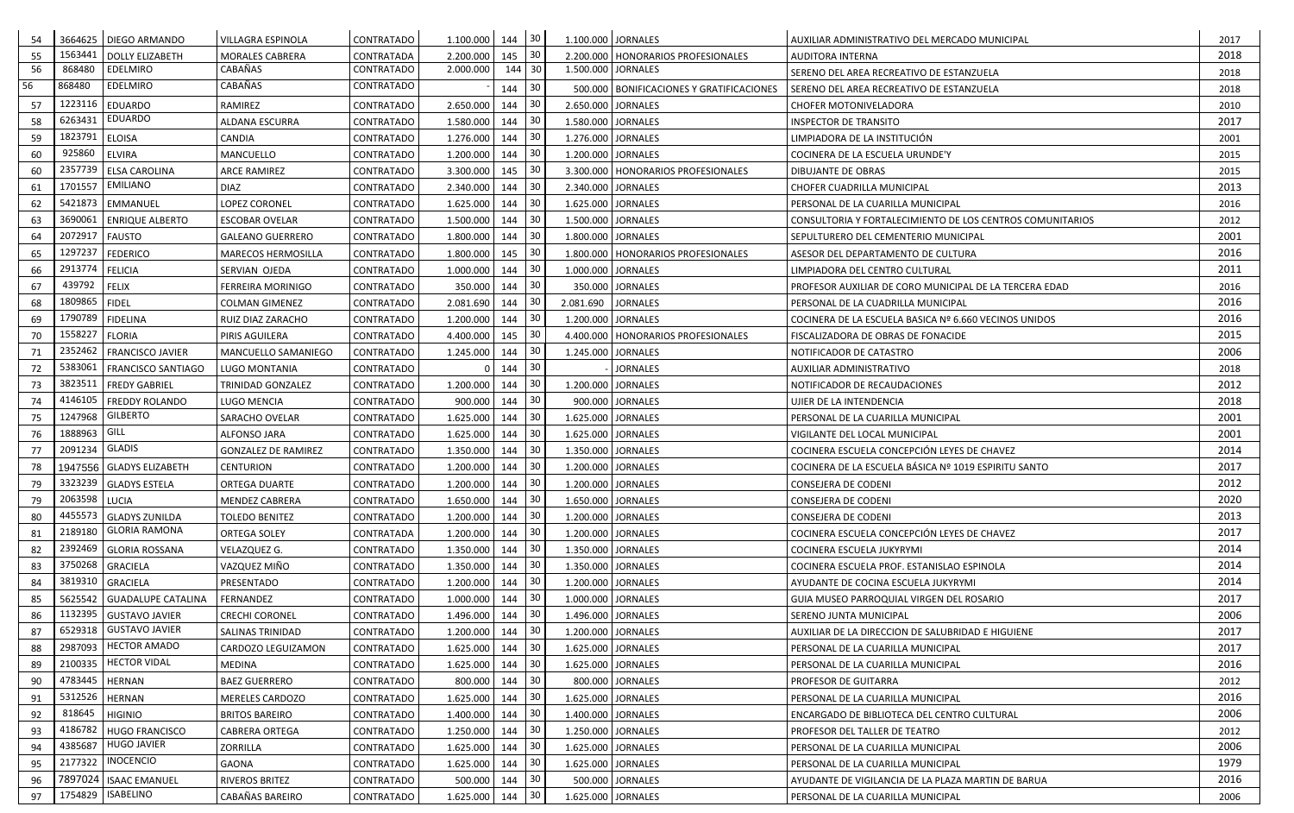| 54 |               | 3664625 DIEGO ARMANDO      | VILLAGRA ESPINOLA          | CONTRATADO | 1.100.000          | 144 | 30              |                    | 1.100.000 JORNALES                         | AUXILIAR ADMINISTRATIVO DEL MERCADO MUNICIPAL             | 2017 |
|----|---------------|----------------------------|----------------------------|------------|--------------------|-----|-----------------|--------------------|--------------------------------------------|-----------------------------------------------------------|------|
| 55 | 1563441       | <b>DOLLY ELIZABETH</b>     | <b>MORALES CABRERA</b>     | CONTRATADA | 2.200.000          | 145 | 30              |                    | 2.200.000   HONORARIOS PROFESIONALES       | AUDITORA INTERNA                                          | 2018 |
| 56 | 868480        | <b>EDELMIRO</b>            | CABAÑAS                    | CONTRATADO | 2.000.000          | 144 | 30              |                    | 1.500.000 JORNALES                         | SERENO DEL AREA RECREATIVO DE ESTANZUELA                  | 2018 |
| 56 | 868480        | <b>EDELMIRO</b>            | CABAÑAS                    | CONTRATADO |                    | 144 | 30              |                    | 500.000   BONIFICACIONES Y GRATIFICACIONES | SERENO DEL AREA RECREATIVO DE ESTANZUELA                  | 2018 |
| 57 | 1223116       | <b>EDUARDO</b>             | RAMIREZ                    | CONTRATADO | 2.650.000          | 144 | 30              |                    | 2.650.000 JORNALES                         | <b>CHOFER MOTONIVELADORA</b>                              | 2010 |
| 58 | 6263431       | <b>EDUARDO</b>             | <b>ALDANA ESCURRA</b>      | CONTRATADO | 1.580.000          | 144 | 30              |                    | 1.580.000 JORNALES                         | <b>INSPECTOR DE TRANSITO</b>                              | 2017 |
| 59 | 1823791       | <b>ELOISA</b>              | CANDIA                     | CONTRATADO | 1.276.000          | 144 | 30              |                    | 1.276.000 JORNALES                         | LIMPIADORA DE LA INSTITUCIÓN                              | 2001 |
| 60 | 925860        | <b>ELVIRA</b>              | MANCUELLO                  | CONTRATADO | 1.200.000          | 144 | 30              |                    | 1.200.000 JORNALES                         | COCINERA DE LA ESCUELA URUNDE'Y                           | 2015 |
| 60 | 2357739       | <b>ELSA CAROLINA</b>       | <b>ARCE RAMIREZ</b>        | CONTRATADO | 3.300.000          | 145 | 30              |                    | 3.300.000   HONORARIOS PROFESIONALES       | DIBUJANTE DE OBRAS                                        | 2015 |
| 61 | 1701557       | <b>EMILIANO</b>            | <b>DIAZ</b>                | CONTRATADO | 2.340.000          | 144 | 30              |                    | 2.340.000 JORNALES                         | CHOFER CUADRILLA MUNICIPAL                                | 2013 |
| 62 | 5421873       | EMMANUEL                   | <b>LOPEZ CORONEL</b>       | CONTRATADO | 1.625.000          | 144 | 30              |                    | 1.625.000 JORNALES                         | PERSONAL DE LA CUARILLA MUNICIPAL                         | 2016 |
| 63 | 3690061       | <b>ENRIQUE ALBERTO</b>     | <b>ESCOBAR OVELAR</b>      | CONTRATADO | 1.500.000          | 144 | 30              |                    | 1.500.000 JORNALES                         | CONSULTORIA Y FORTALECIMIENTO DE LOS CENTROS COMUNITARIOS | 2012 |
| 64 | 2072917       | <b>FAUSTO</b>              | <b>GALEANO GUERRERO</b>    | CONTRATADO | 1.800.000          | 144 | 30              |                    | 1.800.000 JORNALES                         | SEPULTURERO DEL CEMENTERIO MUNICIPAL                      | 2001 |
| 65 | 1297237       | <b>FEDERICO</b>            | <b>MARECOS HERMOSILLA</b>  | CONTRATADO | 1.800.000          | 145 | 30              |                    | 1.800.000   HONORARIOS PROFESIONALES       | ASESOR DEL DEPARTAMENTO DE CULTURA                        | 2016 |
| 66 | 2913774       | <b>FELICIA</b>             | SERVIAN OJEDA              | CONTRATADO | 1.000.000          | 144 | 30              |                    | 1.000.000 JORNALES                         | LIMPIADORA DEL CENTRO CULTURAL                            | 2011 |
| 67 | 439792        | <b>FELIX</b>               | <b>FERREIRA MORINIGO</b>   | CONTRATADO | 350.000            | 144 | 30              |                    | 350.000 JORNALES                           | PROFESOR AUXILIAR DE CORO MUNICIPAL DE LA TERCERA EDAD    | 2016 |
| 68 | 1809865       | <b>FIDEL</b>               | <b>COLMAN GIMENEZ</b>      | CONTRATADO | 2.081.690          | 144 | 30              | 2.081.690 JORNALES |                                            | PERSONAL DE LA CUADRILLA MUNICIPAL                        | 2016 |
| 69 | 1790789       | <b>FIDELINA</b>            | RUIZ DIAZ ZARACHO          | CONTRATADO | 1.200.000          | 144 | 30              |                    | 1.200.000 JORNALES                         | COCINERA DE LA ESCUELA BASICA Nº 6.660 VECINOS UNIDOS     | 2016 |
| 70 | 1558227       | <b>FLORIA</b>              | PIRIS AGUILERA             | CONTRATADO | 4.400.000          | 145 | 30              |                    | 4.400.000   HONORARIOS PROFESIONALES       | FISCALIZADORA DE OBRAS DE FONACIDE                        | 2015 |
| 71 |               | 2352462   FRANCISCO JAVIER | MANCUELLO SAMANIEGO        | CONTRATADO | 1.245.000          | 144 | 30              |                    | 1.245.000 JORNALES                         | NOTIFICADOR DE CATASTRO                                   | 2006 |
| 72 | 5383061       | <b>FRANCISCO SANTIAGO</b>  | LUGO MONTANIA              | CONTRATADO |                    | 144 | 30              |                    | <b>JORNALES</b>                            | AUXILIAR ADMINISTRATIVO                                   | 2018 |
| 73 | 3823511       | <b>FREDY GABRIEL</b>       | <b>TRINIDAD GONZALEZ</b>   | CONTRATADO | 1.200.000          | 144 | 30              |                    | 1.200.000 JORNALES                         | NOTIFICADOR DE RECAUDACIONES                              | 2012 |
| 74 | 4146105       | <b>FREDDY ROLANDO</b>      | LUGO MENCIA                | CONTRATADO | 900.000            | 144 | 30              |                    | 900.000 JORNALES                           | UJIER DE LA INTENDENCIA                                   | 2018 |
| 75 | 1247968       | <b>GILBERTO</b>            | SARACHO OVELAR             | CONTRATADO | 1.625.000          | 144 | 30              |                    | 1.625.000 JORNALES                         | PERSONAL DE LA CUARILLA MUNICIPAL                         | 2001 |
| 76 | 1888963       | GILL                       | ALFONSO JARA               | CONTRATADO | 1.625.000          | 144 | 30              |                    | 1.625.000 JORNALES                         | VIGILANTE DEL LOCAL MUNICIPAL                             | 2001 |
| 77 | 2091234       | <b>GLADIS</b>              | <b>GONZALEZ DE RAMIREZ</b> | CONTRATADO | 1.350.000          | 144 | 30              |                    | 1.350.000 JORNALES                         | COCINERA ESCUELA CONCEPCIÓN LEYES DE CHAVEZ               | 2014 |
| 78 |               | 1947556 GLADYS ELIZABETH   | <b>CENTURION</b>           | CONTRATADO | 1.200.000          | 144 | 30              |                    | 1.200.000 JORNALES                         | COCINERA DE LA ESCUELA BÁSICA Nº 1019 ESPIRITU SANTO      | 2017 |
| 79 |               | 3323239 GLADYS ESTELA      | ORTEGA DUARTE              | CONTRATADO | 1.200.000          | 144 | 30              |                    | 1.200.000 JORNALES                         | CONSEJERA DE CODENI                                       | 2012 |
| 79 | 2063598 LUCIA |                            | MENDEZ CABRERA             | CONTRATADO | $1.650.000$ 144 30 |     |                 |                    | 1.650.000 JORNALES                         | CONSEJERA DE CODENI                                       | 2020 |
| 80 |               | 4455573 GLADYS ZUNILDA     | TOLEDO BENITEZ             | CONTRATADO | 1.200.000          | 144 | $ 30\rangle$    |                    | 1.200.000 JORNALES                         | <b>CONSEJERA DE CODENI</b>                                | 2013 |
| 81 | 2189180       | <b>GLORIA RAMONA</b>       | <b>ORTEGA SOLEY</b>        | CONTRATADA | 1.200.000          | 144 | 30              |                    | 1.200.000 JORNALES                         | COCINERA ESCUELA CONCEPCIÓN LEYES DE CHAVEZ               | 2017 |
| 82 | 2392469       | <b>GLORIA ROSSANA</b>      | VELAZQUEZ G.               | CONTRATADO | 1.350.000          | 144 | 30              |                    | 1.350.000 JORNALES                         | COCINERA ESCUELA JUKYRYMI                                 | 2014 |
| 83 | 3750268       | <b>GRACIELA</b>            | VAZQUEZ MIÑO               | CONTRATADO | 1.350.000          | 144 | 30              |                    | 1.350.000 JORNALES                         | COCINERA ESCUELA PROF. ESTANISLAO ESPINOLA                | 2014 |
| 84 | 3819310       | <b>GRACIELA</b>            | PRESENTADO                 | CONTRATADO | 1.200.000          | 144 | 30              |                    | 1.200.000 JORNALES                         | AYUDANTE DE COCINA ESCUELA JUKYRYMI                       | 2014 |
| 85 |               | 5625542 GUADALUPE CATALINA | FERNANDEZ                  | CONTRATADO | 1.000.000          | 144 | 30              |                    | 1.000.000 JORNALES                         | GUIA MUSEO PARROQUIAL VIRGEN DEL ROSARIO                  | 2017 |
| 86 | 1132395       | <b>GUSTAVO JAVIER</b>      | <b>CRECHI CORONEL</b>      | CONTRATADO | 1.496.000          | 144 | 30              |                    | 1.496.000 JORNALES                         | SERENO JUNTA MUNICIPAL                                    | 2006 |
| 87 | 6529318       | <b>GUSTAVO JAVIER</b>      | SALINAS TRINIDAD           | CONTRATADO | 1.200.000          | 144 | 30              |                    | 1.200.000 JORNALES                         | AUXILIAR DE LA DIRECCION DE SALUBRIDAD E HIGUIENE         | 2017 |
| 88 | 2987093       | <b>HECTOR AMADO</b>        | CARDOZO LEGUIZAMON         | CONTRATADO | 1.625.000          | 144 | 30              |                    | 1.625.000 JORNALES                         | PERSONAL DE LA CUARILLA MUNICIPAL                         | 2017 |
| 89 | 2100335       | <b>HECTOR VIDAL</b>        | MEDINA                     | CONTRATADO | 1.625.000          | 144 | 30 <sub>o</sub> |                    | 1.625.000 JORNALES                         | PERSONAL DE LA CUARILLA MUNICIPAL                         | 2016 |
| 90 | 4783445       | <b>HERNAN</b>              | <b>BAEZ GUERRERO</b>       | CONTRATADO | 800.000            | 144 | 30              |                    | 800.000 JORNALES                           | PROFESOR DE GUITARRA                                      | 2012 |
| 91 | 5312526       | <b>HERNAN</b>              | <b>MERELES CARDOZO</b>     | CONTRATADO | 1.625.000          | 144 | 30              |                    | 1.625.000 JORNALES                         | PERSONAL DE LA CUARILLA MUNICIPAL                         | 2016 |
| 92 | 818645        | <b>HIGINIO</b>             | <b>BRITOS BAREIRO</b>      | CONTRATADO | 1.400.000          | 144 | 30              |                    | 1.400.000 JORNALES                         | <b>ENCARGADO DE BIBLIOTECA DEL CENTRO CULTURAL</b>        | 2006 |
| 93 | 4186782       | <b>HUGO FRANCISCO</b>      | <b>CABRERA ORTEGA</b>      | CONTRATADO | 1.250.000          | 144 | 30              |                    | 1.250.000 JORNALES                         | PROFESOR DEL TALLER DE TEATRO                             | 2012 |
| 94 | 4385687       | <b>HUGO JAVIER</b>         | <b>ZORRILLA</b>            | CONTRATADO | 1.625.000          | 144 | 30              |                    | 1.625.000 JORNALES                         | PERSONAL DE LA CUARILLA MUNICIPAL                         | 2006 |
| 95 | 2177322       | <b>INOCENCIO</b>           | GAONA                      | CONTRATADO | 1.625.000          | 144 | 30              |                    | 1.625.000 JORNALES                         | PERSONAL DE LA CUARILLA MUNICIPAL                         | 1979 |
| 96 |               | 7897024   ISAAC EMANUEL    | <b>RIVEROS BRITEZ</b>      | CONTRATADO | 500.000            | 144 | 30              |                    | 500.000 JORNALES                           | AYUDANTE DE VIGILANCIA DE LA PLAZA MARTIN DE BARUA        | 2016 |
| 97 | 1754829       | ISABELINO                  | CABAÑAS BAREIRO            | CONTRATADO | 1.625.000          | 144 | 30              |                    | 1.625.000 JORNALES                         | PERSONAL DE LA CUARILLA MUNICIPAL                         | 2006 |
|    |               |                            |                            |            |                    |     |                 |                    |                                            |                                                           |      |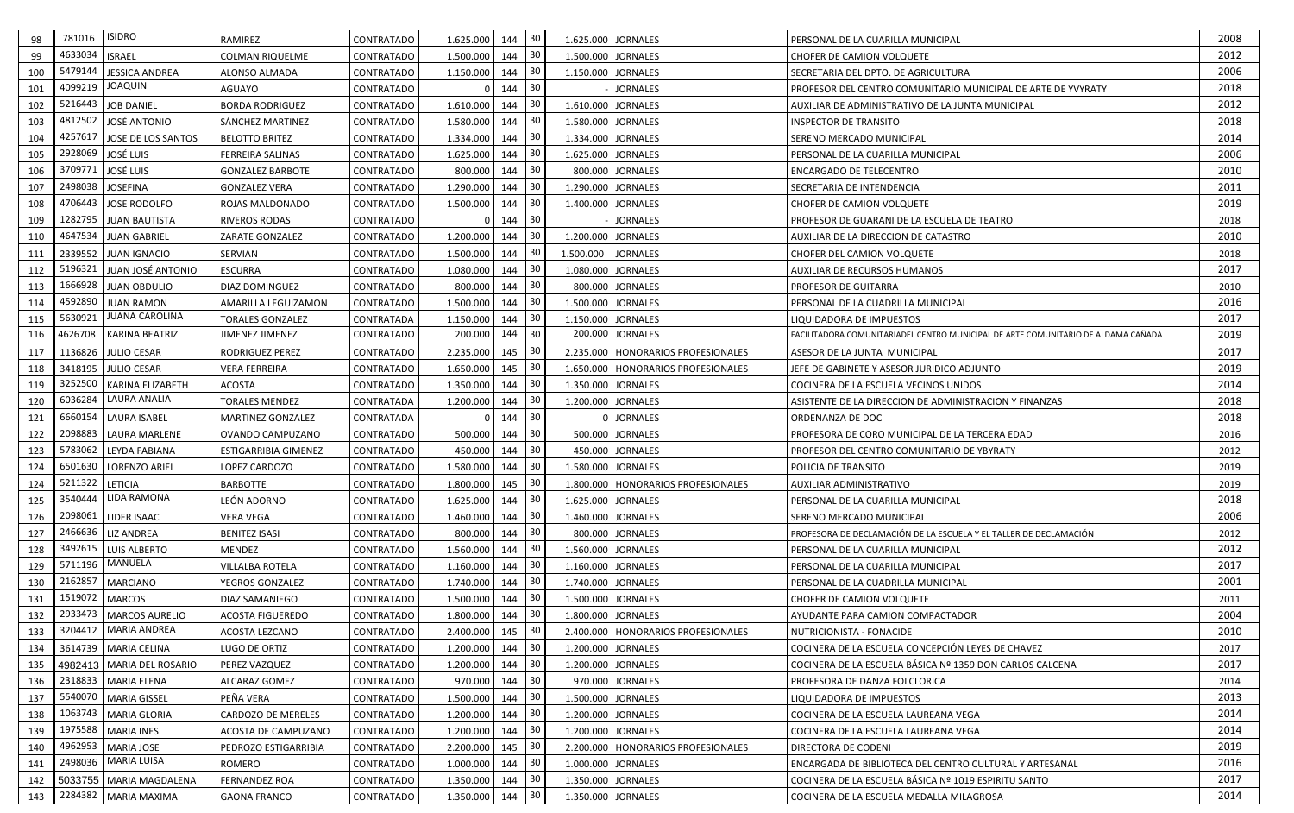| 98  | 781016            | <b>ISIDRO</b>               | RAMIREZ                     | CONTRATADO        | 1.625.000          | 144 | 30              |           | 1.625.000 JORNALES                   | PERSONAL DE LA CUARILLA MUNICIPAL                                                 | 2008 |
|-----|-------------------|-----------------------------|-----------------------------|-------------------|--------------------|-----|-----------------|-----------|--------------------------------------|-----------------------------------------------------------------------------------|------|
| 99  | 4633034           | <b>ISRAEL</b>               | COLMAN RIQUELME             | <b>CONTRATADO</b> | 1.500.000          | 144 | 30              |           | 1.500.000 JORNALES                   | <b>CHOFER DE CAMION VOLQUETE</b>                                                  | 2012 |
| 100 | 5479144           | <b>JESSICA ANDREA</b>       | ALONSO ALMADA               | CONTRATADO        | 1.150.000          | 144 | 30              |           | 1.150.000 JORNALES                   | SECRETARIA DEL DPTO. DE AGRICULTURA                                               | 2006 |
| 101 | 4099219           | <b>JOAQUIN</b>              | AGUAYO                      | CONTRATADO        |                    | 144 | 30              |           | <b>JORNALES</b>                      | PROFESOR DEL CENTRO COMUNITARIO MUNICIPAL DE ARTE DE YVYRATY                      | 2018 |
| 102 | 5216443           | <b>JOB DANIEL</b>           | <b>BORDA RODRIGUEZ</b>      | CONTRATADO        | 1.610.000          | 144 | 30              |           | 1.610.000 JORNALES                   | AUXILIAR DE ADMINISTRATIVO DE LA JUNTA MUNICIPAL                                  | 2012 |
| 103 | 4812502           | JOSÉ ANTONIO                | SÁNCHEZ MARTINEZ            | CONTRATADO        | 1.580.000          | 144 | 30              |           | 1.580.000 JORNALES                   | <b>INSPECTOR DE TRANSITO</b>                                                      | 2018 |
| 104 | 4257617           | JOSE DE LOS SANTOS          | <b>BELOTTO BRITEZ</b>       | CONTRATADO        | 1.334.000          | 144 | 30              |           | 1.334.000 JORNALES                   | SERENO MERCADO MUNICIPAL                                                          | 2014 |
| 105 | 2928069           | <b>JOSÉ LUIS</b>            | FERREIRA SALINAS            | CONTRATADO        | 1.625.000          | 144 | 30              |           | 1.625.000 JORNALES                   | PERSONAL DE LA CUARILLA MUNICIPAL                                                 | 2006 |
| 106 | 3709771           | JOSÉ LUIS                   | <b>GONZALEZ BARBOTE</b>     | CONTRATADO        | 800.000            | 144 | 30              |           | 800.000 JORNALES                     | <b>ENCARGADO DE TELECENTRO</b>                                                    | 2010 |
| 107 | 2498038           | <b>JOSEFINA</b>             | <b>GONZALEZ VERA</b>        | CONTRATADO        | 1.290.000          | 144 | 30              |           | 1.290.000 JORNALES                   | SECRETARIA DE INTENDENCIA                                                         | 2011 |
| 108 | 4706443           | JOSE RODOLFO                | ROJAS MALDONADO             | CONTRATADO        | 1.500.000          | 144 | 30              |           | 1.400.000 JORNALES                   | CHOFER DE CAMION VOLQUETE                                                         | 2019 |
| 109 | 1282795           | <b>JUAN BAUTISTA</b>        | <b>RIVEROS RODAS</b>        | CONTRATADO        |                    | 144 | 30              |           | <b>JORNALES</b>                      | PROFESOR DE GUARANI DE LA ESCUELA DE TEATRO                                       | 2018 |
| 110 | 4647534           | <b>JUAN GABRIEL</b>         | ZARATE GONZALEZ             | CONTRATADO        | 1.200.000          | 144 | 30              |           | 1.200.000 JORNALES                   | AUXILIAR DE LA DIRECCION DE CATASTRO                                              | 2010 |
| 111 |                   | 2339552 JUAN IGNACIO        | SERVIAN                     | CONTRATADO        | 1.500.000          | 144 | 30              | 1.500.000 | <b>JORNALES</b>                      | CHOFER DEL CAMION VOLQUETE                                                        | 2018 |
| 112 | 5196321           | JUAN JOSÉ ANTONIO           | <b>ESCURRA</b>              | CONTRATADO        | 1.080.000          | 144 | 30              |           | 1.080.000 JORNALES                   | AUXILIAR DE RECURSOS HUMANOS                                                      | 2017 |
| 113 |                   | 1666928 JUAN OBDULIO        | <b>DIAZ DOMINGUEZ</b>       | CONTRATADO        | 800.000            | 144 | 30              |           | 800.000 JORNALES                     | <b>PROFESOR DE GUITARRA</b>                                                       | 2010 |
| 114 | 4592890           | <b>JUAN RAMON</b>           | AMARILLA LEGUIZAMON         | CONTRATADO        | 1.500.000          | 144 | 30              |           | 1.500.000 JORNALES                   | PERSONAL DE LA CUADRILLA MUNICIPAL                                                | 2016 |
| 115 | 5630921           | <b>JUANA CAROLINA</b>       | <b>TORALES GONZALEZ</b>     | CONTRATADA        | 1.150.000          | 144 | 30              |           | 1.150.000 JORNALES                   | LIQUIDADORA DE IMPUESTOS                                                          | 2017 |
| 116 | 4626708           | KARINA BEATRIZ              | JIMENEZ JIMENEZ             | CONTRATADO        | 200.000            | 144 | 30              |           | 200.000 JORNALES                     | FACILITADORA COMUNITARIADEL CENTRO MUNICIPAL DE ARTE COMUNITARIO DE ALDAMA CAÑADA | 2019 |
| 117 | 1136826           | <b>JULIO CESAR</b>          | RODRIGUEZ PEREZ             | CONTRATADO        | 2.235.000          | 145 | 30              |           | 2.235.000   HONORARIOS PROFESIONALES | ASESOR DE LA JUNTA MUNICIPAL                                                      | 2017 |
| 118 |                   | 3418195 JULIO CESAR         | <b>VERA FERREIRA</b>        | CONTRATADO        | 1.650.000          | 145 | 30              |           | 1.650.000   HONORARIOS PROFESIONALES | JEFE DE GABINETE Y ASESOR JURIDICO ADJUNTO                                        | 2019 |
| 119 | 3252500           | KARINA ELIZABETH            | <b>ACOSTA</b>               | CONTRATADO        | 1.350.000          | 144 | 30              |           | 1.350.000 JORNALES                   | COCINERA DE LA ESCUELA VECINOS UNIDOS                                             | 2014 |
| 120 | 6036284           | LAURA ANALIA                | TORALES MENDEZ              | CONTRATADA        | 1.200.000          | 144 | 30              |           | 1.200.000 JORNALES                   | ASISTENTE DE LA DIRECCION DE ADMINISTRACION Y FINANZAS                            | 2018 |
| 121 | 6660154           | <b>LAURA ISABEL</b>         | <b>MARTINEZ GONZALEZ</b>    | CONTRATADA        |                    | 144 | 30              |           | 0 JORNALES                           | ORDENANZA DE DOC                                                                  | 2018 |
| 122 | 2098883           | LAURA MARLENE               | OVANDO CAMPUZANO            | CONTRATADO        | 500.000            | 144 | 30              |           | 500.000 JORNALES                     | PROFESORA DE CORO MUNICIPAL DE LA TERCERA EDAD                                    | 2016 |
| 123 |                   | 5783062 LEYDA FABIANA       | <b>ESTIGARRIBIA GIMENEZ</b> | CONTRATADO        | 450.000            | 144 | 30              |           | 450.000 JORNALES                     | PROFESOR DEL CENTRO COMUNITARIO DE YBYRATY                                        | 2012 |
| 124 |                   | 6501630   LORENZO ARIEL     | LOPEZ CARDOZO               | CONTRATADO        | 1.580.000          | 144 | 30              |           | 1.580.000 JORNALES                   | <b>POLICIA DE TRANSITO</b>                                                        | 2019 |
| 124 | 5211322   LETICIA |                             | <b>BARBOTTE</b>             | CONTRATADO        | 1.800.000          | 145 | 30              |           | 1.800.000   HONORARIOS PROFESIONALES | AUXILIAR ADMINISTRATIVO                                                           | 2019 |
| 125 |                   | 3540444 LIDA RAMONA         | LEÓN ADORNO                 | <b>CONTRATADO</b> | $1.625.000$ 144 30 |     |                 |           | 1.625.000 JORNALES                   | PERSONAL DE LA CUARILLA MUNICIPAL                                                 | 2018 |
| 126 | 2098061           | LIDER ISAAC                 | VERA VEGA                   | CONTRATADO        | 1.460.000          | 144 | 30              |           | 1.460.000 JORNALES                   | <b>SERENO MERCADO MUNICIPAL</b>                                                   | 2006 |
| 127 | 2466636           | <b>LIZ ANDREA</b>           | <b>BENITEZ ISASI</b>        | CONTRATADO        | 800.000            | 144 | 30              |           | 800.000 JORNALES                     | PROFESORA DE DECLAMACIÓN DE LA ESCUELA Y EL TALLER DE DECLAMACIÓN                 | 2012 |
| 128 | 3492615           | <b>LUIS ALBERTO</b>         | MENDEZ                      | CONTRATADO        | 1.560.000          | 144 | 30              |           | 1.560.000 JORNALES                   | PERSONAL DE LA CUARILLA MUNICIPAL                                                 | 2012 |
| 129 | 5711196           | MANUELA                     | <b>VILLALBA ROTELA</b>      | CONTRATADO        | 1.160.000          | 144 | 30              |           | 1.160.000   JORNALES                 | PERSONAL DE LA CUARILLA MUNICIPAL                                                 | 2017 |
| 130 |                   | 2162857 MARCIANO            | YEGROS GONZALEZ             | CONTRATADO        | 1.740.000          | 144 | 30              |           | 1.740.000 JORNALES                   | PERSONAL DE LA CUADRILLA MUNICIPAL                                                | 2001 |
| 131 |                   | 1519072   MARCOS            | <b>DIAZ SAMANIEGO</b>       | CONTRATADO        | 1.500.000          | 144 | 30              |           | 1.500.000 JORNALES                   | CHOFER DE CAMION VOLQUETE                                                         | 2011 |
| 132 | 2933473           | MARCOS AURELIO              | <b>ACOSTA FIGUEREDO</b>     | CONTRATADO        | 1.800.000          | 144 | 30              |           | 1.800.000 JORNALES                   | AYUDANTE PARA CAMION COMPACTADOR                                                  | 2004 |
| 133 | 3204412           | MARIA ANDREA                | ACOSTA LEZCANO              | CONTRATADO        | 2.400.000          | 145 | 30              |           | 2.400.000   HONORARIOS PROFESIONALES | NUTRICIONISTA - FONACIDE                                                          | 2010 |
| 134 |                   | 3614739   MARIA CELINA      | LUGO DE ORTIZ               | CONTRATADO        | 1.200.000          | 144 | 30              |           | 1.200.000 JORNALES                   | COCINERA DE LA ESCUELA CONCEPCIÓN LEYES DE CHAVEZ                                 | 2017 |
| 135 |                   | 4982413   MARIA DEL ROSARIO | PEREZ VAZQUEZ               | CONTRATADO        | 1.200.000          | 144 | 30 <sup>1</sup> |           | 1.200.000 JORNALES                   | COCINERA DE LA ESCUELA BÁSICA Nº 1359 DON CARLOS CALCENA                          | 2017 |
| 136 |                   | 2318833   MARIA ELENA       | ALCARAZ GOMEZ               | CONTRATADO        | 970.000            | 144 | 30              |           | 970.000 JORNALES                     | PROFESORA DE DANZA FOLCLORICA                                                     | 2014 |
| 137 |                   | 5540070   MARIA GISSEL      | PEÑA VERA                   | CONTRATADO        | 1.500.000          | 144 | 30 <sup>1</sup> |           | 1.500.000 JORNALES                   | LIQUIDADORA DE IMPUESTOS                                                          | 2013 |
| 138 |                   | 1063743   MARIA GLORIA      | CARDOZO DE MERELES          | CONTRATADO        | 1.200.000          | 144 | 30              |           | 1.200.000 JORNALES                   | COCINERA DE LA ESCUELA LAUREANA VEGA                                              | 2014 |
| 139 |                   | 1975588   MARIA INES        | ACOSTA DE CAMPUZANO         | CONTRATADO        | 1.200.000          | 144 | 30              |           | 1.200.000 JORNALES                   | COCINERA DE LA ESCUELA LAUREANA VEGA                                              | 2014 |
| 140 |                   | 4962953 MARIA JOSE          | PEDROZO ESTIGARRIBIA        | CONTRATADO        | 2.200.000          | 145 | 30 <sub>o</sub> |           | 2.200.000   HONORARIOS PROFESIONALES | <b>DIRECTORA DE CODENI</b>                                                        | 2019 |
| 141 | 2498036           | <b>MARIA LUISA</b>          | ROMERO                      | CONTRATADO        | 1.000.000          | 144 | 30              |           | 1.000.000 JORNALES                   | ENCARGADA DE BIBLIOTECA DEL CENTRO CULTURAL Y ARTESANAL                           | 2016 |
| 142 |                   | 5033755   MARIA MAGDALENA   | <b>FERNANDEZ ROA</b>        | CONTRATADO        | 1.350.000          | 144 | 30              |           | 1.350.000 JORNALES                   | COCINERA DE LA ESCUELA BÁSICA Nº 1019 ESPIRITU SANTO                              | 2017 |
| 143 |                   | 2284382   MARIA MAXIMA      | <b>GAONA FRANCO</b>         | CONTRATADO        | 1.350.000          | 144 | 30              |           | 1.350.000 JORNALES                   | COCINERA DE LA ESCUELA MEDALLA MILAGROSA                                          | 2014 |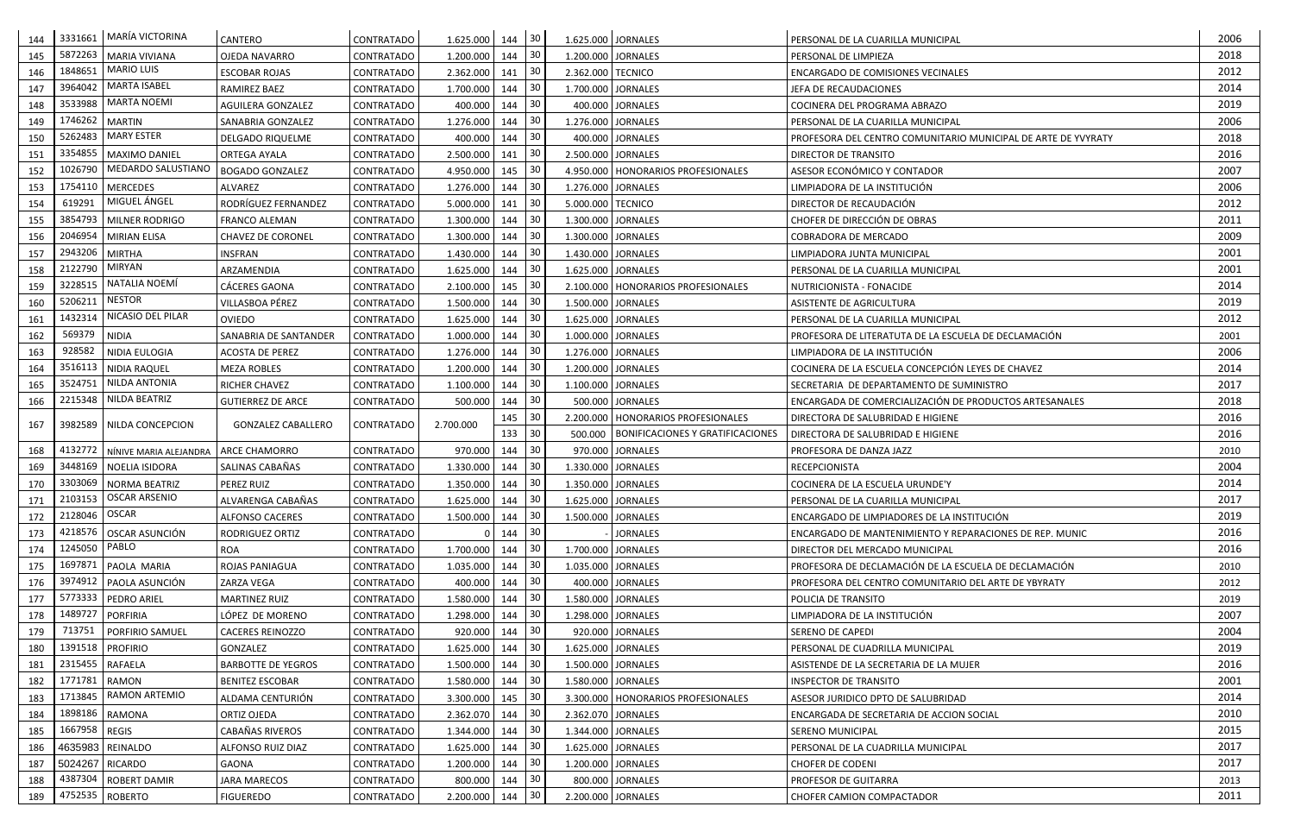| 5872263<br>30<br>2018<br>145<br><b>MARIA VIVIANA</b><br>1.200.000<br>144<br>1.200.000 JORNALES<br>OJEDA NAVARRO<br>CONTRATADO<br>PERSONAL DE LIMPIEZA<br><b>MARIO LUIS</b><br>1848651<br>2012<br>  30<br>146<br><b>ESCOBAR ROJAS</b><br>CONTRATADO<br>2.362.000<br>141<br>2.362.000 TECNICO<br><b>ENCARGADO DE COMISIONES VECINALES</b><br><b>MARTA ISABEL</b><br>3964042<br>2014<br>30<br>147<br><b>RAMIREZ BAEZ</b><br>CONTRATADO<br>1.700.000<br>144<br>1.700.000 JORNALES<br>JEFA DE RECAUDACIONES<br><b>MARTA NOEMI</b><br>3533988<br>30<br>2019<br>148<br>400.000<br>400.000 JORNALES<br>144<br>AGUILERA GONZALEZ<br>CONTRATADO<br>COCINERA DEL PROGRAMA ABRAZO<br>1746262 MARTIN<br>30<br>2006<br>149<br>1.276.000<br>1.276.000 JORNALES<br>SANABRIA GONZALEZ<br>CONTRATADO<br>144<br>PERSONAL DE LA CUARILLA MUNICIPAL<br><b>MARY ESTER</b><br>5262483<br>2018<br>30<br>150<br>400.000<br>400.000 JORNALES<br>PROFESORA DEL CENTRO COMUNITARIO MUNICIPAL DE ARTE DE YVYRATY<br>DELGADO RIQUELME<br><b>CONTRATADO</b><br>144<br>3354855<br>30<br>2016<br>MAXIMO DANIEL<br>2.500.000<br>2.500.000 JORNALES<br>151<br><b>ORTEGA AYALA</b><br>CONTRATADO<br>141<br><b>DIRECTOR DE TRANSITO</b><br>MEDARDO SALUSTIANO<br>1026790<br>30<br>2007<br><b>BOGADO GONZALEZ</b><br>ASESOR ECONÓMICO Y CONTADOR<br>152<br>4.950.000<br>145<br>4.950.000   HONORARIOS PROFESIONALES<br><b>CONTRATADO</b><br>1754110   MERCEDES<br>30<br>2006<br>153<br>CONTRATADO<br>1.276.000<br>144<br>1.276.000 JORNALES<br>LIMPIADORA DE LA INSTITUCIÓN<br>ALVAREZ<br>MIGUEL ÁNGEL<br>619291<br>30<br>2012<br>154<br>RODRÍGUEZ FERNANDEZ<br>5.000.000<br>DIRECTOR DE RECAUDACIÓN<br>CONTRATADO<br>141<br>5.000.000 TECNICO<br>3854793   MILNER RODRIGO<br>30<br>2011<br>1.300.000<br>1.300.000 JORNALES<br>155<br>144<br>CHOFER DE DIRECCIÓN DE OBRAS<br><b>FRANCO ALEMAN</b><br>CONTRATADO<br>2046954<br>30<br>2009<br>156<br>1.300.000<br>1.300.000 JORNALES<br><b>MIRIAN ELISA</b><br>CHAVEZ DE CORONEL<br>CONTRATADO<br>144<br><b>COBRADORA DE MERCADO</b><br>2943206<br>2001<br>-30<br>157<br><b>MIRTHA</b><br><b>INSFRAN</b><br>1.430.000<br>CONTRATADO<br>144<br>1.430.000 JORNALES<br>LIMPIADORA JUNTA MUNICIPAL<br><b>MIRYAN</b><br>2122790<br>30<br>2001<br>158<br>ARZAMENDIA<br>CONTRATADO<br>1.625.000<br>144<br>1.625.000 JORNALES<br>PERSONAL DE LA CUARILLA MUNICIPAL<br>NATALIA NOEMÍ<br>3228515<br>30<br>2014<br>159<br><b>CÁCERES GAONA</b><br>2.100.000<br>145<br>2.100.000   HONORARIOS PROFESIONALES<br><b>CONTRATADO</b><br>NUTRICIONISTA - FONACIDE<br><b>NESTOR</b><br>5206211<br>30<br>2019<br>160<br>VILLASBOA PÉREZ<br>1.500.000<br>144<br>1.500.000 JORNALES<br>CONTRATADO<br>ASISTENTE DE AGRICULTURA<br>NICASIO DEL PILAR<br>1432314<br>30<br>2012<br>161<br>OVIEDO<br>1.625.000<br>1.625.000 JORNALES<br><b>CONTRATADO</b><br>144<br>PERSONAL DE LA CUARILLA MUNICIPAL<br>569379<br>-30<br>162<br><b>NIDIA</b><br>SANABRIA DE SANTANDER<br>CONTRATADO<br>1.000.000<br>144<br>1.000.000 JORNALES<br>2001<br>PROFESORA DE LITERATUTA DE LA ESCUELA DE DECLAMACIÓN<br>928582<br>30<br>2006<br>163<br>NIDIA EULOGIA<br>1.276.000<br>1.276.000 JORNALES<br>LIMPIADORA DE LA INSTITUCIÓN<br><b>ACOSTA DE PEREZ</b><br>CONTRATADO<br>144<br>3516113<br>30<br>2014<br>NIDIA RAQUEL<br>1.200.000<br>COCINERA DE LA ESCUELA CONCEPCIÓN LEYES DE CHAVEZ<br>164<br><b>MEZA ROBLES</b><br>CONTRATADO<br>144<br>1.200.000 JORNALES<br>3524751 NILDA ANTONIA<br>30<br>2017<br>165<br>1.100.000 JORNALES<br>CONTRATADO<br>1.100.000<br>144<br><b>RICHER CHAVEZ</b><br>SECRETARIA DE DEPARTAMENTO DE SUMINISTRO<br>2215348 NILDA BEATRIZ<br>30<br>ENCARGADA DE COMERCIALIZACIÓN DE PRODUCTOS ARTESANALES<br>2018<br>166<br>500.000<br>500.000 JORNALES<br><b>GUTIERREZ DE ARCE</b><br>144<br><b>CONTRATADO</b><br>30<br>2016<br>145<br>2.200.000   HONORARIOS PROFESIONALES<br>DIRECTORA DE SALUBRIDAD E HIGIENE<br>167<br>CONTRATADO<br>2.700.000<br>3982589   NILDA CONCEPCION<br><b>GONZALEZ CABALLERO</b><br>30<br>133<br>500.000   BONIFICACIONES Y GRATIFICACIONES<br>2016<br>DIRECTORA DE SALUBRIDAD E HIGIENE<br>4132772<br>30<br>970.000<br>970.000 JORNALES<br>2010<br>168<br>NÍNIVE MARIA ALEJANDRA   ARCE CHAMORRO<br>CONTRATADO<br>144<br>PROFESORA DE DANZA JAZZ<br>3448169 NOELIA ISIDORA<br>30<br>2004<br>169<br>1.330.000<br>1.330.000 JORNALES<br>SALINAS CABAÑAS<br>CONTRATADO<br>144<br><b>RECEPCIONISTA</b><br>3303069   NORMA BEATRIZ<br>30<br>2014<br>170<br>PEREZ RUIZ<br>1.350.000<br>1.350.000 JORNALES<br>CONTRATADO<br>144<br>COCINERA DE LA ESCUELA URUNDE'Y<br>2103153   OSCAR ARSENIO<br>$1.625.000$ 144 30<br>2017<br>ALVARENGA CABAÑAS<br><b>CONTRATADO</b><br>1.625.000 JORNALES<br>PERSONAL DE LA CUARILLA MUNICIPAL<br>171<br>2128046 OSCAR<br>30<br>172<br>1.500.000 144<br>2019<br>1.500.000 JORNALES<br>ENCARGADO DE LIMPIADORES DE LA INSTITUCIÓN<br><b>ALFONSO CACERES</b><br>CONTRATADO<br>30<br>4218576   OSCAR ASUNCIÓN<br>2016<br>173<br>144<br><b>JORNALES</b><br>CONTRATADO<br>RODRIGUEZ ORTIZ<br><b>ENCARGADO DE MANTENIMIENTO Y REPARACIONES DE REP. MUNIC</b><br>PABLO<br>1245050<br>30<br>2016<br>1.700.000 144<br>174<br><b>ROA</b><br>CONTRATADO<br>1.700.000 JORNALES<br>DIRECTOR DEL MERCADO MUNICIPAL<br>1697871 PAOLA MARIA<br>30<br>175<br>1.035.000<br>144<br>1.035.000 JORNALES<br>PROFESORA DE DECLAMACIÓN DE LA ESCUELA DE DECLAMACIÓN<br><b>ROJAS PANIAGUA</b><br>CONTRATADO<br>2010<br>30<br>3974912 PAOLA ASUNCIÓN<br>176<br>400.000<br>144<br>400.000 JORNALES<br>ZARZA VEGA<br>CONTRATADO<br>2012<br>PROFESORA DEL CENTRO COMUNITARIO DEL ARTE DE YBYRATY<br>30<br>5773333   PEDRO ARIEL<br>1.580.000<br>177<br><b>MARTINEZ RUIZ</b><br>CONTRATADO<br>144<br>1.580.000 JORNALES<br>2019<br>POLICIA DE TRANSITO<br>1489727<br>30<br>2007<br>PORFIRIA<br>178<br>LÓPEZ DE MORENO<br>1.298.000<br>1.298.000 JORNALES<br>CONTRATADO<br>144<br>LIMPIADORA DE LA INSTITUCIÓN<br>30<br>713751<br>2004<br>920.000<br>179<br><b>PORFIRIO SAMUEL</b><br>144<br>920.000 JORNALES<br><b>CACERES REINOZZO</b><br>CONTRATADO<br><b>SERENO DE CAPEDI</b><br>1391518   PROFIRIO<br>30<br>2019<br>180<br>144<br>GONZALEZ<br>1.625.000<br>1.625.000 JORNALES<br>CONTRATADO<br>PERSONAL DE CUADRILLA MUNICIPAL<br>2315455 RAFAELA<br>30<br>2016<br>181<br>1.500.000 144<br><b>BARBOTTE DE YEGROS</b><br>CONTRATADO<br>1.500.000 JORNALES<br>ASISTENDE DE LA SECRETARIA DE LA MUJER<br>1771781 RAMON<br>30<br>2001<br>182<br>1.580.000<br>144<br><b>BENITEZ ESCOBAR</b><br>CONTRATADO<br>1.580.000 JORNALES<br><b>INSPECTOR DE TRANSITO</b><br><b>RAMON ARTEMIO</b><br>1713845<br>30<br>2014<br>183<br>ALDAMA CENTURIÓN<br>3.300.000<br>145<br>CONTRATADO<br>3.300.000   HONORARIOS PROFESIONALES<br>ASESOR JURIDICO DPTO DE SALUBRIDAD<br>1898186 RAMONA<br>30<br>2010<br>2.362.070 144<br>184<br>ORTIZ OJEDA<br>CONTRATADO<br>2.362.070 JORNALES<br><b>ENCARGADA DE SECRETARIA DE ACCION SOCIAL</b><br>1667958 REGIS<br>30<br>2015<br>185<br>CABAÑAS RIVEROS<br>CONTRATADO<br>1.344.000<br>144<br>1.344.000 JORNALES<br><b>SERENO MUNICIPAL</b><br>30<br>2017<br>1.625.000 144<br>1.625.000 JORNALES<br>186<br>4635983 REINALDO<br>ALFONSO RUIZ DIAZ<br>CONTRATADO<br>PERSONAL DE LA CUADRILLA MUNICIPAL<br>30<br>2017<br>5024267 RICARDO<br>1.200.000<br>144<br>1.200.000 JORNALES<br>187<br>GAONA<br>CONTRATADO<br><b>CHOFER DE CODENI</b><br>4387304 ROBERT DAMIR<br>30<br><b>JARA MARECOS</b><br>800.000 144<br>800.000 JORNALES<br>188<br>CONTRATADO<br><b>PROFESOR DE GUITARRA</b><br>2013<br>4752535 ROBERTO<br>30<br>2011<br>189<br>2.200.000 144<br>2.200.000 JORNALES | 144 | 3331661   MARÍA VICTORINA | CANTERO          | CONTRATADO | 1.625.000 144 | 30 | 1.625.000 JORNALES | PERSONAL DE LA CUARILLA MUNICIPAL | 2006 |
|-----------------------------------------------------------------------------------------------------------------------------------------------------------------------------------------------------------------------------------------------------------------------------------------------------------------------------------------------------------------------------------------------------------------------------------------------------------------------------------------------------------------------------------------------------------------------------------------------------------------------------------------------------------------------------------------------------------------------------------------------------------------------------------------------------------------------------------------------------------------------------------------------------------------------------------------------------------------------------------------------------------------------------------------------------------------------------------------------------------------------------------------------------------------------------------------------------------------------------------------------------------------------------------------------------------------------------------------------------------------------------------------------------------------------------------------------------------------------------------------------------------------------------------------------------------------------------------------------------------------------------------------------------------------------------------------------------------------------------------------------------------------------------------------------------------------------------------------------------------------------------------------------------------------------------------------------------------------------------------------------------------------------------------------------------------------------------------------------------------------------------------------------------------------------------------------------------------------------------------------------------------------------------------------------------------------------------------------------------------------------------------------------------------------------------------------------------------------------------------------------------------------------------------------------------------------------------------------------------------------------------------------------------------------------------------------------------------------------------------------------------------------------------------------------------------------------------------------------------------------------------------------------------------------------------------------------------------------------------------------------------------------------------------------------------------------------------------------------------------------------------------------------------------------------------------------------------------------------------------------------------------------------------------------------------------------------------------------------------------------------------------------------------------------------------------------------------------------------------------------------------------------------------------------------------------------------------------------------------------------------------------------------------------------------------------------------------------------------------------------------------------------------------------------------------------------------------------------------------------------------------------------------------------------------------------------------------------------------------------------------------------------------------------------------------------------------------------------------------------------------------------------------------------------------------------------------------------------------------------------------------------------------------------------------------------------------------------------------------------------------------------------------------------------------------------------------------------------------------------------------------------------------------------------------------------------------------------------------------------------------------------------------------------------------------------------------------------------------------------------------------------------------------------------------------------------------------------------------------------------------------------------------------------------------------------------------------------------------------------------------------------------------------------------------------------------------------------------------------------------------------------------------------------------------------------------------------------------------------------------------------------------------------------------------------------------------------------------------------------------------------------------------------------------------------------------------------------------------------------------------------------------------------------------------------------------------------------------------------------------------------------------------------------------------------------------------------------------------------------------------------------------------------------------------------------------------------------------------------------------------------------------------------------------------------------------------------------------------------------------------------------------------------------------------------------------------------------------------------------------------------------------------------------------------------------------------------------------------------------------------------------------------------------------------------------------------------------------------------------------------------------------------------------------------------------------------------------------------------------------------------------------------------------------------------------------------------------------------------------------------------------------------------------------------------------------------------------------------------------------------------------------------------------------------------------------------------------------------------------------------------------------------------------------------------------------------------------------------------------------------------------------------------------------------------------------------------------------------------------------------------------------------------------------------------------------------------------------------------------------------------------------------------------------------------------------------------------------------------------------------------------------------------------------------------------------------------------------------------------------------------------------------------------------------------------------------------------------------------------------------------|-----|---------------------------|------------------|------------|---------------|----|--------------------|-----------------------------------|------|
|                                                                                                                                                                                                                                                                                                                                                                                                                                                                                                                                                                                                                                                                                                                                                                                                                                                                                                                                                                                                                                                                                                                                                                                                                                                                                                                                                                                                                                                                                                                                                                                                                                                                                                                                                                                                                                                                                                                                                                                                                                                                                                                                                                                                                                                                                                                                                                                                                                                                                                                                                                                                                                                                                                                                                                                                                                                                                                                                                                                                                                                                                                                                                                                                                                                                                                                                                                                                                                                                                                                                                                                                                                                                                                                                                                                                                                                                                                                                                                                                                                                                                                                                                                                                                                                                                                                                                                                                                                                                                                                                                                                                                                                                                                                                                                                                                                                                                                                                                                                                                                                                                                                                                                                                                                                                                                                                                                                                                                                                                                                                                                                                                                                                                                                                                                                                                                                                                                                                                                                                                                                                                                                                                                                                                                                                                                                                                                                                                                                                                                                                                                                                                                                                                                                                                                                                                                                                                                                                                                                                                                                                                                                                                                                                                                                                                                                                                                                                                                                                                                                                                                                                                             |     |                           |                  |            |               |    |                    |                                   |      |
|                                                                                                                                                                                                                                                                                                                                                                                                                                                                                                                                                                                                                                                                                                                                                                                                                                                                                                                                                                                                                                                                                                                                                                                                                                                                                                                                                                                                                                                                                                                                                                                                                                                                                                                                                                                                                                                                                                                                                                                                                                                                                                                                                                                                                                                                                                                                                                                                                                                                                                                                                                                                                                                                                                                                                                                                                                                                                                                                                                                                                                                                                                                                                                                                                                                                                                                                                                                                                                                                                                                                                                                                                                                                                                                                                                                                                                                                                                                                                                                                                                                                                                                                                                                                                                                                                                                                                                                                                                                                                                                                                                                                                                                                                                                                                                                                                                                                                                                                                                                                                                                                                                                                                                                                                                                                                                                                                                                                                                                                                                                                                                                                                                                                                                                                                                                                                                                                                                                                                                                                                                                                                                                                                                                                                                                                                                                                                                                                                                                                                                                                                                                                                                                                                                                                                                                                                                                                                                                                                                                                                                                                                                                                                                                                                                                                                                                                                                                                                                                                                                                                                                                                                             |     |                           |                  |            |               |    |                    |                                   |      |
|                                                                                                                                                                                                                                                                                                                                                                                                                                                                                                                                                                                                                                                                                                                                                                                                                                                                                                                                                                                                                                                                                                                                                                                                                                                                                                                                                                                                                                                                                                                                                                                                                                                                                                                                                                                                                                                                                                                                                                                                                                                                                                                                                                                                                                                                                                                                                                                                                                                                                                                                                                                                                                                                                                                                                                                                                                                                                                                                                                                                                                                                                                                                                                                                                                                                                                                                                                                                                                                                                                                                                                                                                                                                                                                                                                                                                                                                                                                                                                                                                                                                                                                                                                                                                                                                                                                                                                                                                                                                                                                                                                                                                                                                                                                                                                                                                                                                                                                                                                                                                                                                                                                                                                                                                                                                                                                                                                                                                                                                                                                                                                                                                                                                                                                                                                                                                                                                                                                                                                                                                                                                                                                                                                                                                                                                                                                                                                                                                                                                                                                                                                                                                                                                                                                                                                                                                                                                                                                                                                                                                                                                                                                                                                                                                                                                                                                                                                                                                                                                                                                                                                                                                             |     |                           |                  |            |               |    |                    |                                   |      |
|                                                                                                                                                                                                                                                                                                                                                                                                                                                                                                                                                                                                                                                                                                                                                                                                                                                                                                                                                                                                                                                                                                                                                                                                                                                                                                                                                                                                                                                                                                                                                                                                                                                                                                                                                                                                                                                                                                                                                                                                                                                                                                                                                                                                                                                                                                                                                                                                                                                                                                                                                                                                                                                                                                                                                                                                                                                                                                                                                                                                                                                                                                                                                                                                                                                                                                                                                                                                                                                                                                                                                                                                                                                                                                                                                                                                                                                                                                                                                                                                                                                                                                                                                                                                                                                                                                                                                                                                                                                                                                                                                                                                                                                                                                                                                                                                                                                                                                                                                                                                                                                                                                                                                                                                                                                                                                                                                                                                                                                                                                                                                                                                                                                                                                                                                                                                                                                                                                                                                                                                                                                                                                                                                                                                                                                                                                                                                                                                                                                                                                                                                                                                                                                                                                                                                                                                                                                                                                                                                                                                                                                                                                                                                                                                                                                                                                                                                                                                                                                                                                                                                                                                                             |     |                           |                  |            |               |    |                    |                                   |      |
|                                                                                                                                                                                                                                                                                                                                                                                                                                                                                                                                                                                                                                                                                                                                                                                                                                                                                                                                                                                                                                                                                                                                                                                                                                                                                                                                                                                                                                                                                                                                                                                                                                                                                                                                                                                                                                                                                                                                                                                                                                                                                                                                                                                                                                                                                                                                                                                                                                                                                                                                                                                                                                                                                                                                                                                                                                                                                                                                                                                                                                                                                                                                                                                                                                                                                                                                                                                                                                                                                                                                                                                                                                                                                                                                                                                                                                                                                                                                                                                                                                                                                                                                                                                                                                                                                                                                                                                                                                                                                                                                                                                                                                                                                                                                                                                                                                                                                                                                                                                                                                                                                                                                                                                                                                                                                                                                                                                                                                                                                                                                                                                                                                                                                                                                                                                                                                                                                                                                                                                                                                                                                                                                                                                                                                                                                                                                                                                                                                                                                                                                                                                                                                                                                                                                                                                                                                                                                                                                                                                                                                                                                                                                                                                                                                                                                                                                                                                                                                                                                                                                                                                                                             |     |                           |                  |            |               |    |                    |                                   |      |
|                                                                                                                                                                                                                                                                                                                                                                                                                                                                                                                                                                                                                                                                                                                                                                                                                                                                                                                                                                                                                                                                                                                                                                                                                                                                                                                                                                                                                                                                                                                                                                                                                                                                                                                                                                                                                                                                                                                                                                                                                                                                                                                                                                                                                                                                                                                                                                                                                                                                                                                                                                                                                                                                                                                                                                                                                                                                                                                                                                                                                                                                                                                                                                                                                                                                                                                                                                                                                                                                                                                                                                                                                                                                                                                                                                                                                                                                                                                                                                                                                                                                                                                                                                                                                                                                                                                                                                                                                                                                                                                                                                                                                                                                                                                                                                                                                                                                                                                                                                                                                                                                                                                                                                                                                                                                                                                                                                                                                                                                                                                                                                                                                                                                                                                                                                                                                                                                                                                                                                                                                                                                                                                                                                                                                                                                                                                                                                                                                                                                                                                                                                                                                                                                                                                                                                                                                                                                                                                                                                                                                                                                                                                                                                                                                                                                                                                                                                                                                                                                                                                                                                                                                             |     |                           |                  |            |               |    |                    |                                   |      |
|                                                                                                                                                                                                                                                                                                                                                                                                                                                                                                                                                                                                                                                                                                                                                                                                                                                                                                                                                                                                                                                                                                                                                                                                                                                                                                                                                                                                                                                                                                                                                                                                                                                                                                                                                                                                                                                                                                                                                                                                                                                                                                                                                                                                                                                                                                                                                                                                                                                                                                                                                                                                                                                                                                                                                                                                                                                                                                                                                                                                                                                                                                                                                                                                                                                                                                                                                                                                                                                                                                                                                                                                                                                                                                                                                                                                                                                                                                                                                                                                                                                                                                                                                                                                                                                                                                                                                                                                                                                                                                                                                                                                                                                                                                                                                                                                                                                                                                                                                                                                                                                                                                                                                                                                                                                                                                                                                                                                                                                                                                                                                                                                                                                                                                                                                                                                                                                                                                                                                                                                                                                                                                                                                                                                                                                                                                                                                                                                                                                                                                                                                                                                                                                                                                                                                                                                                                                                                                                                                                                                                                                                                                                                                                                                                                                                                                                                                                                                                                                                                                                                                                                                                             |     |                           |                  |            |               |    |                    |                                   |      |
|                                                                                                                                                                                                                                                                                                                                                                                                                                                                                                                                                                                                                                                                                                                                                                                                                                                                                                                                                                                                                                                                                                                                                                                                                                                                                                                                                                                                                                                                                                                                                                                                                                                                                                                                                                                                                                                                                                                                                                                                                                                                                                                                                                                                                                                                                                                                                                                                                                                                                                                                                                                                                                                                                                                                                                                                                                                                                                                                                                                                                                                                                                                                                                                                                                                                                                                                                                                                                                                                                                                                                                                                                                                                                                                                                                                                                                                                                                                                                                                                                                                                                                                                                                                                                                                                                                                                                                                                                                                                                                                                                                                                                                                                                                                                                                                                                                                                                                                                                                                                                                                                                                                                                                                                                                                                                                                                                                                                                                                                                                                                                                                                                                                                                                                                                                                                                                                                                                                                                                                                                                                                                                                                                                                                                                                                                                                                                                                                                                                                                                                                                                                                                                                                                                                                                                                                                                                                                                                                                                                                                                                                                                                                                                                                                                                                                                                                                                                                                                                                                                                                                                                                                             |     |                           |                  |            |               |    |                    |                                   |      |
|                                                                                                                                                                                                                                                                                                                                                                                                                                                                                                                                                                                                                                                                                                                                                                                                                                                                                                                                                                                                                                                                                                                                                                                                                                                                                                                                                                                                                                                                                                                                                                                                                                                                                                                                                                                                                                                                                                                                                                                                                                                                                                                                                                                                                                                                                                                                                                                                                                                                                                                                                                                                                                                                                                                                                                                                                                                                                                                                                                                                                                                                                                                                                                                                                                                                                                                                                                                                                                                                                                                                                                                                                                                                                                                                                                                                                                                                                                                                                                                                                                                                                                                                                                                                                                                                                                                                                                                                                                                                                                                                                                                                                                                                                                                                                                                                                                                                                                                                                                                                                                                                                                                                                                                                                                                                                                                                                                                                                                                                                                                                                                                                                                                                                                                                                                                                                                                                                                                                                                                                                                                                                                                                                                                                                                                                                                                                                                                                                                                                                                                                                                                                                                                                                                                                                                                                                                                                                                                                                                                                                                                                                                                                                                                                                                                                                                                                                                                                                                                                                                                                                                                                                             |     |                           |                  |            |               |    |                    |                                   |      |
|                                                                                                                                                                                                                                                                                                                                                                                                                                                                                                                                                                                                                                                                                                                                                                                                                                                                                                                                                                                                                                                                                                                                                                                                                                                                                                                                                                                                                                                                                                                                                                                                                                                                                                                                                                                                                                                                                                                                                                                                                                                                                                                                                                                                                                                                                                                                                                                                                                                                                                                                                                                                                                                                                                                                                                                                                                                                                                                                                                                                                                                                                                                                                                                                                                                                                                                                                                                                                                                                                                                                                                                                                                                                                                                                                                                                                                                                                                                                                                                                                                                                                                                                                                                                                                                                                                                                                                                                                                                                                                                                                                                                                                                                                                                                                                                                                                                                                                                                                                                                                                                                                                                                                                                                                                                                                                                                                                                                                                                                                                                                                                                                                                                                                                                                                                                                                                                                                                                                                                                                                                                                                                                                                                                                                                                                                                                                                                                                                                                                                                                                                                                                                                                                                                                                                                                                                                                                                                                                                                                                                                                                                                                                                                                                                                                                                                                                                                                                                                                                                                                                                                                                                             |     |                           |                  |            |               |    |                    |                                   |      |
|                                                                                                                                                                                                                                                                                                                                                                                                                                                                                                                                                                                                                                                                                                                                                                                                                                                                                                                                                                                                                                                                                                                                                                                                                                                                                                                                                                                                                                                                                                                                                                                                                                                                                                                                                                                                                                                                                                                                                                                                                                                                                                                                                                                                                                                                                                                                                                                                                                                                                                                                                                                                                                                                                                                                                                                                                                                                                                                                                                                                                                                                                                                                                                                                                                                                                                                                                                                                                                                                                                                                                                                                                                                                                                                                                                                                                                                                                                                                                                                                                                                                                                                                                                                                                                                                                                                                                                                                                                                                                                                                                                                                                                                                                                                                                                                                                                                                                                                                                                                                                                                                                                                                                                                                                                                                                                                                                                                                                                                                                                                                                                                                                                                                                                                                                                                                                                                                                                                                                                                                                                                                                                                                                                                                                                                                                                                                                                                                                                                                                                                                                                                                                                                                                                                                                                                                                                                                                                                                                                                                                                                                                                                                                                                                                                                                                                                                                                                                                                                                                                                                                                                                                             |     |                           |                  |            |               |    |                    |                                   |      |
|                                                                                                                                                                                                                                                                                                                                                                                                                                                                                                                                                                                                                                                                                                                                                                                                                                                                                                                                                                                                                                                                                                                                                                                                                                                                                                                                                                                                                                                                                                                                                                                                                                                                                                                                                                                                                                                                                                                                                                                                                                                                                                                                                                                                                                                                                                                                                                                                                                                                                                                                                                                                                                                                                                                                                                                                                                                                                                                                                                                                                                                                                                                                                                                                                                                                                                                                                                                                                                                                                                                                                                                                                                                                                                                                                                                                                                                                                                                                                                                                                                                                                                                                                                                                                                                                                                                                                                                                                                                                                                                                                                                                                                                                                                                                                                                                                                                                                                                                                                                                                                                                                                                                                                                                                                                                                                                                                                                                                                                                                                                                                                                                                                                                                                                                                                                                                                                                                                                                                                                                                                                                                                                                                                                                                                                                                                                                                                                                                                                                                                                                                                                                                                                                                                                                                                                                                                                                                                                                                                                                                                                                                                                                                                                                                                                                                                                                                                                                                                                                                                                                                                                                                             |     |                           |                  |            |               |    |                    |                                   |      |
|                                                                                                                                                                                                                                                                                                                                                                                                                                                                                                                                                                                                                                                                                                                                                                                                                                                                                                                                                                                                                                                                                                                                                                                                                                                                                                                                                                                                                                                                                                                                                                                                                                                                                                                                                                                                                                                                                                                                                                                                                                                                                                                                                                                                                                                                                                                                                                                                                                                                                                                                                                                                                                                                                                                                                                                                                                                                                                                                                                                                                                                                                                                                                                                                                                                                                                                                                                                                                                                                                                                                                                                                                                                                                                                                                                                                                                                                                                                                                                                                                                                                                                                                                                                                                                                                                                                                                                                                                                                                                                                                                                                                                                                                                                                                                                                                                                                                                                                                                                                                                                                                                                                                                                                                                                                                                                                                                                                                                                                                                                                                                                                                                                                                                                                                                                                                                                                                                                                                                                                                                                                                                                                                                                                                                                                                                                                                                                                                                                                                                                                                                                                                                                                                                                                                                                                                                                                                                                                                                                                                                                                                                                                                                                                                                                                                                                                                                                                                                                                                                                                                                                                                                             |     |                           |                  |            |               |    |                    |                                   |      |
|                                                                                                                                                                                                                                                                                                                                                                                                                                                                                                                                                                                                                                                                                                                                                                                                                                                                                                                                                                                                                                                                                                                                                                                                                                                                                                                                                                                                                                                                                                                                                                                                                                                                                                                                                                                                                                                                                                                                                                                                                                                                                                                                                                                                                                                                                                                                                                                                                                                                                                                                                                                                                                                                                                                                                                                                                                                                                                                                                                                                                                                                                                                                                                                                                                                                                                                                                                                                                                                                                                                                                                                                                                                                                                                                                                                                                                                                                                                                                                                                                                                                                                                                                                                                                                                                                                                                                                                                                                                                                                                                                                                                                                                                                                                                                                                                                                                                                                                                                                                                                                                                                                                                                                                                                                                                                                                                                                                                                                                                                                                                                                                                                                                                                                                                                                                                                                                                                                                                                                                                                                                                                                                                                                                                                                                                                                                                                                                                                                                                                                                                                                                                                                                                                                                                                                                                                                                                                                                                                                                                                                                                                                                                                                                                                                                                                                                                                                                                                                                                                                                                                                                                                             |     |                           |                  |            |               |    |                    |                                   |      |
|                                                                                                                                                                                                                                                                                                                                                                                                                                                                                                                                                                                                                                                                                                                                                                                                                                                                                                                                                                                                                                                                                                                                                                                                                                                                                                                                                                                                                                                                                                                                                                                                                                                                                                                                                                                                                                                                                                                                                                                                                                                                                                                                                                                                                                                                                                                                                                                                                                                                                                                                                                                                                                                                                                                                                                                                                                                                                                                                                                                                                                                                                                                                                                                                                                                                                                                                                                                                                                                                                                                                                                                                                                                                                                                                                                                                                                                                                                                                                                                                                                                                                                                                                                                                                                                                                                                                                                                                                                                                                                                                                                                                                                                                                                                                                                                                                                                                                                                                                                                                                                                                                                                                                                                                                                                                                                                                                                                                                                                                                                                                                                                                                                                                                                                                                                                                                                                                                                                                                                                                                                                                                                                                                                                                                                                                                                                                                                                                                                                                                                                                                                                                                                                                                                                                                                                                                                                                                                                                                                                                                                                                                                                                                                                                                                                                                                                                                                                                                                                                                                                                                                                                                             |     |                           |                  |            |               |    |                    |                                   |      |
|                                                                                                                                                                                                                                                                                                                                                                                                                                                                                                                                                                                                                                                                                                                                                                                                                                                                                                                                                                                                                                                                                                                                                                                                                                                                                                                                                                                                                                                                                                                                                                                                                                                                                                                                                                                                                                                                                                                                                                                                                                                                                                                                                                                                                                                                                                                                                                                                                                                                                                                                                                                                                                                                                                                                                                                                                                                                                                                                                                                                                                                                                                                                                                                                                                                                                                                                                                                                                                                                                                                                                                                                                                                                                                                                                                                                                                                                                                                                                                                                                                                                                                                                                                                                                                                                                                                                                                                                                                                                                                                                                                                                                                                                                                                                                                                                                                                                                                                                                                                                                                                                                                                                                                                                                                                                                                                                                                                                                                                                                                                                                                                                                                                                                                                                                                                                                                                                                                                                                                                                                                                                                                                                                                                                                                                                                                                                                                                                                                                                                                                                                                                                                                                                                                                                                                                                                                                                                                                                                                                                                                                                                                                                                                                                                                                                                                                                                                                                                                                                                                                                                                                                                             |     |                           |                  |            |               |    |                    |                                   |      |
|                                                                                                                                                                                                                                                                                                                                                                                                                                                                                                                                                                                                                                                                                                                                                                                                                                                                                                                                                                                                                                                                                                                                                                                                                                                                                                                                                                                                                                                                                                                                                                                                                                                                                                                                                                                                                                                                                                                                                                                                                                                                                                                                                                                                                                                                                                                                                                                                                                                                                                                                                                                                                                                                                                                                                                                                                                                                                                                                                                                                                                                                                                                                                                                                                                                                                                                                                                                                                                                                                                                                                                                                                                                                                                                                                                                                                                                                                                                                                                                                                                                                                                                                                                                                                                                                                                                                                                                                                                                                                                                                                                                                                                                                                                                                                                                                                                                                                                                                                                                                                                                                                                                                                                                                                                                                                                                                                                                                                                                                                                                                                                                                                                                                                                                                                                                                                                                                                                                                                                                                                                                                                                                                                                                                                                                                                                                                                                                                                                                                                                                                                                                                                                                                                                                                                                                                                                                                                                                                                                                                                                                                                                                                                                                                                                                                                                                                                                                                                                                                                                                                                                                                                             |     |                           |                  |            |               |    |                    |                                   |      |
|                                                                                                                                                                                                                                                                                                                                                                                                                                                                                                                                                                                                                                                                                                                                                                                                                                                                                                                                                                                                                                                                                                                                                                                                                                                                                                                                                                                                                                                                                                                                                                                                                                                                                                                                                                                                                                                                                                                                                                                                                                                                                                                                                                                                                                                                                                                                                                                                                                                                                                                                                                                                                                                                                                                                                                                                                                                                                                                                                                                                                                                                                                                                                                                                                                                                                                                                                                                                                                                                                                                                                                                                                                                                                                                                                                                                                                                                                                                                                                                                                                                                                                                                                                                                                                                                                                                                                                                                                                                                                                                                                                                                                                                                                                                                                                                                                                                                                                                                                                                                                                                                                                                                                                                                                                                                                                                                                                                                                                                                                                                                                                                                                                                                                                                                                                                                                                                                                                                                                                                                                                                                                                                                                                                                                                                                                                                                                                                                                                                                                                                                                                                                                                                                                                                                                                                                                                                                                                                                                                                                                                                                                                                                                                                                                                                                                                                                                                                                                                                                                                                                                                                                                             |     |                           |                  |            |               |    |                    |                                   |      |
|                                                                                                                                                                                                                                                                                                                                                                                                                                                                                                                                                                                                                                                                                                                                                                                                                                                                                                                                                                                                                                                                                                                                                                                                                                                                                                                                                                                                                                                                                                                                                                                                                                                                                                                                                                                                                                                                                                                                                                                                                                                                                                                                                                                                                                                                                                                                                                                                                                                                                                                                                                                                                                                                                                                                                                                                                                                                                                                                                                                                                                                                                                                                                                                                                                                                                                                                                                                                                                                                                                                                                                                                                                                                                                                                                                                                                                                                                                                                                                                                                                                                                                                                                                                                                                                                                                                                                                                                                                                                                                                                                                                                                                                                                                                                                                                                                                                                                                                                                                                                                                                                                                                                                                                                                                                                                                                                                                                                                                                                                                                                                                                                                                                                                                                                                                                                                                                                                                                                                                                                                                                                                                                                                                                                                                                                                                                                                                                                                                                                                                                                                                                                                                                                                                                                                                                                                                                                                                                                                                                                                                                                                                                                                                                                                                                                                                                                                                                                                                                                                                                                                                                                                             |     |                           |                  |            |               |    |                    |                                   |      |
|                                                                                                                                                                                                                                                                                                                                                                                                                                                                                                                                                                                                                                                                                                                                                                                                                                                                                                                                                                                                                                                                                                                                                                                                                                                                                                                                                                                                                                                                                                                                                                                                                                                                                                                                                                                                                                                                                                                                                                                                                                                                                                                                                                                                                                                                                                                                                                                                                                                                                                                                                                                                                                                                                                                                                                                                                                                                                                                                                                                                                                                                                                                                                                                                                                                                                                                                                                                                                                                                                                                                                                                                                                                                                                                                                                                                                                                                                                                                                                                                                                                                                                                                                                                                                                                                                                                                                                                                                                                                                                                                                                                                                                                                                                                                                                                                                                                                                                                                                                                                                                                                                                                                                                                                                                                                                                                                                                                                                                                                                                                                                                                                                                                                                                                                                                                                                                                                                                                                                                                                                                                                                                                                                                                                                                                                                                                                                                                                                                                                                                                                                                                                                                                                                                                                                                                                                                                                                                                                                                                                                                                                                                                                                                                                                                                                                                                                                                                                                                                                                                                                                                                                                             |     |                           |                  |            |               |    |                    |                                   |      |
|                                                                                                                                                                                                                                                                                                                                                                                                                                                                                                                                                                                                                                                                                                                                                                                                                                                                                                                                                                                                                                                                                                                                                                                                                                                                                                                                                                                                                                                                                                                                                                                                                                                                                                                                                                                                                                                                                                                                                                                                                                                                                                                                                                                                                                                                                                                                                                                                                                                                                                                                                                                                                                                                                                                                                                                                                                                                                                                                                                                                                                                                                                                                                                                                                                                                                                                                                                                                                                                                                                                                                                                                                                                                                                                                                                                                                                                                                                                                                                                                                                                                                                                                                                                                                                                                                                                                                                                                                                                                                                                                                                                                                                                                                                                                                                                                                                                                                                                                                                                                                                                                                                                                                                                                                                                                                                                                                                                                                                                                                                                                                                                                                                                                                                                                                                                                                                                                                                                                                                                                                                                                                                                                                                                                                                                                                                                                                                                                                                                                                                                                                                                                                                                                                                                                                                                                                                                                                                                                                                                                                                                                                                                                                                                                                                                                                                                                                                                                                                                                                                                                                                                                                             |     |                           |                  |            |               |    |                    |                                   |      |
|                                                                                                                                                                                                                                                                                                                                                                                                                                                                                                                                                                                                                                                                                                                                                                                                                                                                                                                                                                                                                                                                                                                                                                                                                                                                                                                                                                                                                                                                                                                                                                                                                                                                                                                                                                                                                                                                                                                                                                                                                                                                                                                                                                                                                                                                                                                                                                                                                                                                                                                                                                                                                                                                                                                                                                                                                                                                                                                                                                                                                                                                                                                                                                                                                                                                                                                                                                                                                                                                                                                                                                                                                                                                                                                                                                                                                                                                                                                                                                                                                                                                                                                                                                                                                                                                                                                                                                                                                                                                                                                                                                                                                                                                                                                                                                                                                                                                                                                                                                                                                                                                                                                                                                                                                                                                                                                                                                                                                                                                                                                                                                                                                                                                                                                                                                                                                                                                                                                                                                                                                                                                                                                                                                                                                                                                                                                                                                                                                                                                                                                                                                                                                                                                                                                                                                                                                                                                                                                                                                                                                                                                                                                                                                                                                                                                                                                                                                                                                                                                                                                                                                                                                             |     |                           |                  |            |               |    |                    |                                   |      |
|                                                                                                                                                                                                                                                                                                                                                                                                                                                                                                                                                                                                                                                                                                                                                                                                                                                                                                                                                                                                                                                                                                                                                                                                                                                                                                                                                                                                                                                                                                                                                                                                                                                                                                                                                                                                                                                                                                                                                                                                                                                                                                                                                                                                                                                                                                                                                                                                                                                                                                                                                                                                                                                                                                                                                                                                                                                                                                                                                                                                                                                                                                                                                                                                                                                                                                                                                                                                                                                                                                                                                                                                                                                                                                                                                                                                                                                                                                                                                                                                                                                                                                                                                                                                                                                                                                                                                                                                                                                                                                                                                                                                                                                                                                                                                                                                                                                                                                                                                                                                                                                                                                                                                                                                                                                                                                                                                                                                                                                                                                                                                                                                                                                                                                                                                                                                                                                                                                                                                                                                                                                                                                                                                                                                                                                                                                                                                                                                                                                                                                                                                                                                                                                                                                                                                                                                                                                                                                                                                                                                                                                                                                                                                                                                                                                                                                                                                                                                                                                                                                                                                                                                                             |     |                           |                  |            |               |    |                    |                                   |      |
|                                                                                                                                                                                                                                                                                                                                                                                                                                                                                                                                                                                                                                                                                                                                                                                                                                                                                                                                                                                                                                                                                                                                                                                                                                                                                                                                                                                                                                                                                                                                                                                                                                                                                                                                                                                                                                                                                                                                                                                                                                                                                                                                                                                                                                                                                                                                                                                                                                                                                                                                                                                                                                                                                                                                                                                                                                                                                                                                                                                                                                                                                                                                                                                                                                                                                                                                                                                                                                                                                                                                                                                                                                                                                                                                                                                                                                                                                                                                                                                                                                                                                                                                                                                                                                                                                                                                                                                                                                                                                                                                                                                                                                                                                                                                                                                                                                                                                                                                                                                                                                                                                                                                                                                                                                                                                                                                                                                                                                                                                                                                                                                                                                                                                                                                                                                                                                                                                                                                                                                                                                                                                                                                                                                                                                                                                                                                                                                                                                                                                                                                                                                                                                                                                                                                                                                                                                                                                                                                                                                                                                                                                                                                                                                                                                                                                                                                                                                                                                                                                                                                                                                                                             |     |                           |                  |            |               |    |                    |                                   |      |
|                                                                                                                                                                                                                                                                                                                                                                                                                                                                                                                                                                                                                                                                                                                                                                                                                                                                                                                                                                                                                                                                                                                                                                                                                                                                                                                                                                                                                                                                                                                                                                                                                                                                                                                                                                                                                                                                                                                                                                                                                                                                                                                                                                                                                                                                                                                                                                                                                                                                                                                                                                                                                                                                                                                                                                                                                                                                                                                                                                                                                                                                                                                                                                                                                                                                                                                                                                                                                                                                                                                                                                                                                                                                                                                                                                                                                                                                                                                                                                                                                                                                                                                                                                                                                                                                                                                                                                                                                                                                                                                                                                                                                                                                                                                                                                                                                                                                                                                                                                                                                                                                                                                                                                                                                                                                                                                                                                                                                                                                                                                                                                                                                                                                                                                                                                                                                                                                                                                                                                                                                                                                                                                                                                                                                                                                                                                                                                                                                                                                                                                                                                                                                                                                                                                                                                                                                                                                                                                                                                                                                                                                                                                                                                                                                                                                                                                                                                                                                                                                                                                                                                                                                             |     |                           |                  |            |               |    |                    |                                   |      |
|                                                                                                                                                                                                                                                                                                                                                                                                                                                                                                                                                                                                                                                                                                                                                                                                                                                                                                                                                                                                                                                                                                                                                                                                                                                                                                                                                                                                                                                                                                                                                                                                                                                                                                                                                                                                                                                                                                                                                                                                                                                                                                                                                                                                                                                                                                                                                                                                                                                                                                                                                                                                                                                                                                                                                                                                                                                                                                                                                                                                                                                                                                                                                                                                                                                                                                                                                                                                                                                                                                                                                                                                                                                                                                                                                                                                                                                                                                                                                                                                                                                                                                                                                                                                                                                                                                                                                                                                                                                                                                                                                                                                                                                                                                                                                                                                                                                                                                                                                                                                                                                                                                                                                                                                                                                                                                                                                                                                                                                                                                                                                                                                                                                                                                                                                                                                                                                                                                                                                                                                                                                                                                                                                                                                                                                                                                                                                                                                                                                                                                                                                                                                                                                                                                                                                                                                                                                                                                                                                                                                                                                                                                                                                                                                                                                                                                                                                                                                                                                                                                                                                                                                                             |     |                           |                  |            |               |    |                    |                                   |      |
|                                                                                                                                                                                                                                                                                                                                                                                                                                                                                                                                                                                                                                                                                                                                                                                                                                                                                                                                                                                                                                                                                                                                                                                                                                                                                                                                                                                                                                                                                                                                                                                                                                                                                                                                                                                                                                                                                                                                                                                                                                                                                                                                                                                                                                                                                                                                                                                                                                                                                                                                                                                                                                                                                                                                                                                                                                                                                                                                                                                                                                                                                                                                                                                                                                                                                                                                                                                                                                                                                                                                                                                                                                                                                                                                                                                                                                                                                                                                                                                                                                                                                                                                                                                                                                                                                                                                                                                                                                                                                                                                                                                                                                                                                                                                                                                                                                                                                                                                                                                                                                                                                                                                                                                                                                                                                                                                                                                                                                                                                                                                                                                                                                                                                                                                                                                                                                                                                                                                                                                                                                                                                                                                                                                                                                                                                                                                                                                                                                                                                                                                                                                                                                                                                                                                                                                                                                                                                                                                                                                                                                                                                                                                                                                                                                                                                                                                                                                                                                                                                                                                                                                                                             |     |                           |                  |            |               |    |                    |                                   |      |
|                                                                                                                                                                                                                                                                                                                                                                                                                                                                                                                                                                                                                                                                                                                                                                                                                                                                                                                                                                                                                                                                                                                                                                                                                                                                                                                                                                                                                                                                                                                                                                                                                                                                                                                                                                                                                                                                                                                                                                                                                                                                                                                                                                                                                                                                                                                                                                                                                                                                                                                                                                                                                                                                                                                                                                                                                                                                                                                                                                                                                                                                                                                                                                                                                                                                                                                                                                                                                                                                                                                                                                                                                                                                                                                                                                                                                                                                                                                                                                                                                                                                                                                                                                                                                                                                                                                                                                                                                                                                                                                                                                                                                                                                                                                                                                                                                                                                                                                                                                                                                                                                                                                                                                                                                                                                                                                                                                                                                                                                                                                                                                                                                                                                                                                                                                                                                                                                                                                                                                                                                                                                                                                                                                                                                                                                                                                                                                                                                                                                                                                                                                                                                                                                                                                                                                                                                                                                                                                                                                                                                                                                                                                                                                                                                                                                                                                                                                                                                                                                                                                                                                                                                             |     |                           |                  |            |               |    |                    |                                   |      |
|                                                                                                                                                                                                                                                                                                                                                                                                                                                                                                                                                                                                                                                                                                                                                                                                                                                                                                                                                                                                                                                                                                                                                                                                                                                                                                                                                                                                                                                                                                                                                                                                                                                                                                                                                                                                                                                                                                                                                                                                                                                                                                                                                                                                                                                                                                                                                                                                                                                                                                                                                                                                                                                                                                                                                                                                                                                                                                                                                                                                                                                                                                                                                                                                                                                                                                                                                                                                                                                                                                                                                                                                                                                                                                                                                                                                                                                                                                                                                                                                                                                                                                                                                                                                                                                                                                                                                                                                                                                                                                                                                                                                                                                                                                                                                                                                                                                                                                                                                                                                                                                                                                                                                                                                                                                                                                                                                                                                                                                                                                                                                                                                                                                                                                                                                                                                                                                                                                                                                                                                                                                                                                                                                                                                                                                                                                                                                                                                                                                                                                                                                                                                                                                                                                                                                                                                                                                                                                                                                                                                                                                                                                                                                                                                                                                                                                                                                                                                                                                                                                                                                                                                                             |     |                           |                  |            |               |    |                    |                                   |      |
|                                                                                                                                                                                                                                                                                                                                                                                                                                                                                                                                                                                                                                                                                                                                                                                                                                                                                                                                                                                                                                                                                                                                                                                                                                                                                                                                                                                                                                                                                                                                                                                                                                                                                                                                                                                                                                                                                                                                                                                                                                                                                                                                                                                                                                                                                                                                                                                                                                                                                                                                                                                                                                                                                                                                                                                                                                                                                                                                                                                                                                                                                                                                                                                                                                                                                                                                                                                                                                                                                                                                                                                                                                                                                                                                                                                                                                                                                                                                                                                                                                                                                                                                                                                                                                                                                                                                                                                                                                                                                                                                                                                                                                                                                                                                                                                                                                                                                                                                                                                                                                                                                                                                                                                                                                                                                                                                                                                                                                                                                                                                                                                                                                                                                                                                                                                                                                                                                                                                                                                                                                                                                                                                                                                                                                                                                                                                                                                                                                                                                                                                                                                                                                                                                                                                                                                                                                                                                                                                                                                                                                                                                                                                                                                                                                                                                                                                                                                                                                                                                                                                                                                                                             |     |                           |                  |            |               |    |                    |                                   |      |
|                                                                                                                                                                                                                                                                                                                                                                                                                                                                                                                                                                                                                                                                                                                                                                                                                                                                                                                                                                                                                                                                                                                                                                                                                                                                                                                                                                                                                                                                                                                                                                                                                                                                                                                                                                                                                                                                                                                                                                                                                                                                                                                                                                                                                                                                                                                                                                                                                                                                                                                                                                                                                                                                                                                                                                                                                                                                                                                                                                                                                                                                                                                                                                                                                                                                                                                                                                                                                                                                                                                                                                                                                                                                                                                                                                                                                                                                                                                                                                                                                                                                                                                                                                                                                                                                                                                                                                                                                                                                                                                                                                                                                                                                                                                                                                                                                                                                                                                                                                                                                                                                                                                                                                                                                                                                                                                                                                                                                                                                                                                                                                                                                                                                                                                                                                                                                                                                                                                                                                                                                                                                                                                                                                                                                                                                                                                                                                                                                                                                                                                                                                                                                                                                                                                                                                                                                                                                                                                                                                                                                                                                                                                                                                                                                                                                                                                                                                                                                                                                                                                                                                                                                             |     |                           |                  |            |               |    |                    |                                   |      |
|                                                                                                                                                                                                                                                                                                                                                                                                                                                                                                                                                                                                                                                                                                                                                                                                                                                                                                                                                                                                                                                                                                                                                                                                                                                                                                                                                                                                                                                                                                                                                                                                                                                                                                                                                                                                                                                                                                                                                                                                                                                                                                                                                                                                                                                                                                                                                                                                                                                                                                                                                                                                                                                                                                                                                                                                                                                                                                                                                                                                                                                                                                                                                                                                                                                                                                                                                                                                                                                                                                                                                                                                                                                                                                                                                                                                                                                                                                                                                                                                                                                                                                                                                                                                                                                                                                                                                                                                                                                                                                                                                                                                                                                                                                                                                                                                                                                                                                                                                                                                                                                                                                                                                                                                                                                                                                                                                                                                                                                                                                                                                                                                                                                                                                                                                                                                                                                                                                                                                                                                                                                                                                                                                                                                                                                                                                                                                                                                                                                                                                                                                                                                                                                                                                                                                                                                                                                                                                                                                                                                                                                                                                                                                                                                                                                                                                                                                                                                                                                                                                                                                                                                                             |     |                           |                  |            |               |    |                    |                                   |      |
|                                                                                                                                                                                                                                                                                                                                                                                                                                                                                                                                                                                                                                                                                                                                                                                                                                                                                                                                                                                                                                                                                                                                                                                                                                                                                                                                                                                                                                                                                                                                                                                                                                                                                                                                                                                                                                                                                                                                                                                                                                                                                                                                                                                                                                                                                                                                                                                                                                                                                                                                                                                                                                                                                                                                                                                                                                                                                                                                                                                                                                                                                                                                                                                                                                                                                                                                                                                                                                                                                                                                                                                                                                                                                                                                                                                                                                                                                                                                                                                                                                                                                                                                                                                                                                                                                                                                                                                                                                                                                                                                                                                                                                                                                                                                                                                                                                                                                                                                                                                                                                                                                                                                                                                                                                                                                                                                                                                                                                                                                                                                                                                                                                                                                                                                                                                                                                                                                                                                                                                                                                                                                                                                                                                                                                                                                                                                                                                                                                                                                                                                                                                                                                                                                                                                                                                                                                                                                                                                                                                                                                                                                                                                                                                                                                                                                                                                                                                                                                                                                                                                                                                                                             |     |                           |                  |            |               |    |                    |                                   |      |
|                                                                                                                                                                                                                                                                                                                                                                                                                                                                                                                                                                                                                                                                                                                                                                                                                                                                                                                                                                                                                                                                                                                                                                                                                                                                                                                                                                                                                                                                                                                                                                                                                                                                                                                                                                                                                                                                                                                                                                                                                                                                                                                                                                                                                                                                                                                                                                                                                                                                                                                                                                                                                                                                                                                                                                                                                                                                                                                                                                                                                                                                                                                                                                                                                                                                                                                                                                                                                                                                                                                                                                                                                                                                                                                                                                                                                                                                                                                                                                                                                                                                                                                                                                                                                                                                                                                                                                                                                                                                                                                                                                                                                                                                                                                                                                                                                                                                                                                                                                                                                                                                                                                                                                                                                                                                                                                                                                                                                                                                                                                                                                                                                                                                                                                                                                                                                                                                                                                                                                                                                                                                                                                                                                                                                                                                                                                                                                                                                                                                                                                                                                                                                                                                                                                                                                                                                                                                                                                                                                                                                                                                                                                                                                                                                                                                                                                                                                                                                                                                                                                                                                                                                             |     |                           |                  |            |               |    |                    |                                   |      |
|                                                                                                                                                                                                                                                                                                                                                                                                                                                                                                                                                                                                                                                                                                                                                                                                                                                                                                                                                                                                                                                                                                                                                                                                                                                                                                                                                                                                                                                                                                                                                                                                                                                                                                                                                                                                                                                                                                                                                                                                                                                                                                                                                                                                                                                                                                                                                                                                                                                                                                                                                                                                                                                                                                                                                                                                                                                                                                                                                                                                                                                                                                                                                                                                                                                                                                                                                                                                                                                                                                                                                                                                                                                                                                                                                                                                                                                                                                                                                                                                                                                                                                                                                                                                                                                                                                                                                                                                                                                                                                                                                                                                                                                                                                                                                                                                                                                                                                                                                                                                                                                                                                                                                                                                                                                                                                                                                                                                                                                                                                                                                                                                                                                                                                                                                                                                                                                                                                                                                                                                                                                                                                                                                                                                                                                                                                                                                                                                                                                                                                                                                                                                                                                                                                                                                                                                                                                                                                                                                                                                                                                                                                                                                                                                                                                                                                                                                                                                                                                                                                                                                                                                                             |     |                           |                  |            |               |    |                    |                                   |      |
|                                                                                                                                                                                                                                                                                                                                                                                                                                                                                                                                                                                                                                                                                                                                                                                                                                                                                                                                                                                                                                                                                                                                                                                                                                                                                                                                                                                                                                                                                                                                                                                                                                                                                                                                                                                                                                                                                                                                                                                                                                                                                                                                                                                                                                                                                                                                                                                                                                                                                                                                                                                                                                                                                                                                                                                                                                                                                                                                                                                                                                                                                                                                                                                                                                                                                                                                                                                                                                                                                                                                                                                                                                                                                                                                                                                                                                                                                                                                                                                                                                                                                                                                                                                                                                                                                                                                                                                                                                                                                                                                                                                                                                                                                                                                                                                                                                                                                                                                                                                                                                                                                                                                                                                                                                                                                                                                                                                                                                                                                                                                                                                                                                                                                                                                                                                                                                                                                                                                                                                                                                                                                                                                                                                                                                                                                                                                                                                                                                                                                                                                                                                                                                                                                                                                                                                                                                                                                                                                                                                                                                                                                                                                                                                                                                                                                                                                                                                                                                                                                                                                                                                                                             |     |                           |                  |            |               |    |                    |                                   |      |
|                                                                                                                                                                                                                                                                                                                                                                                                                                                                                                                                                                                                                                                                                                                                                                                                                                                                                                                                                                                                                                                                                                                                                                                                                                                                                                                                                                                                                                                                                                                                                                                                                                                                                                                                                                                                                                                                                                                                                                                                                                                                                                                                                                                                                                                                                                                                                                                                                                                                                                                                                                                                                                                                                                                                                                                                                                                                                                                                                                                                                                                                                                                                                                                                                                                                                                                                                                                                                                                                                                                                                                                                                                                                                                                                                                                                                                                                                                                                                                                                                                                                                                                                                                                                                                                                                                                                                                                                                                                                                                                                                                                                                                                                                                                                                                                                                                                                                                                                                                                                                                                                                                                                                                                                                                                                                                                                                                                                                                                                                                                                                                                                                                                                                                                                                                                                                                                                                                                                                                                                                                                                                                                                                                                                                                                                                                                                                                                                                                                                                                                                                                                                                                                                                                                                                                                                                                                                                                                                                                                                                                                                                                                                                                                                                                                                                                                                                                                                                                                                                                                                                                                                                             |     |                           |                  |            |               |    |                    |                                   |      |
|                                                                                                                                                                                                                                                                                                                                                                                                                                                                                                                                                                                                                                                                                                                                                                                                                                                                                                                                                                                                                                                                                                                                                                                                                                                                                                                                                                                                                                                                                                                                                                                                                                                                                                                                                                                                                                                                                                                                                                                                                                                                                                                                                                                                                                                                                                                                                                                                                                                                                                                                                                                                                                                                                                                                                                                                                                                                                                                                                                                                                                                                                                                                                                                                                                                                                                                                                                                                                                                                                                                                                                                                                                                                                                                                                                                                                                                                                                                                                                                                                                                                                                                                                                                                                                                                                                                                                                                                                                                                                                                                                                                                                                                                                                                                                                                                                                                                                                                                                                                                                                                                                                                                                                                                                                                                                                                                                                                                                                                                                                                                                                                                                                                                                                                                                                                                                                                                                                                                                                                                                                                                                                                                                                                                                                                                                                                                                                                                                                                                                                                                                                                                                                                                                                                                                                                                                                                                                                                                                                                                                                                                                                                                                                                                                                                                                                                                                                                                                                                                                                                                                                                                                             |     |                           |                  |            |               |    |                    |                                   |      |
|                                                                                                                                                                                                                                                                                                                                                                                                                                                                                                                                                                                                                                                                                                                                                                                                                                                                                                                                                                                                                                                                                                                                                                                                                                                                                                                                                                                                                                                                                                                                                                                                                                                                                                                                                                                                                                                                                                                                                                                                                                                                                                                                                                                                                                                                                                                                                                                                                                                                                                                                                                                                                                                                                                                                                                                                                                                                                                                                                                                                                                                                                                                                                                                                                                                                                                                                                                                                                                                                                                                                                                                                                                                                                                                                                                                                                                                                                                                                                                                                                                                                                                                                                                                                                                                                                                                                                                                                                                                                                                                                                                                                                                                                                                                                                                                                                                                                                                                                                                                                                                                                                                                                                                                                                                                                                                                                                                                                                                                                                                                                                                                                                                                                                                                                                                                                                                                                                                                                                                                                                                                                                                                                                                                                                                                                                                                                                                                                                                                                                                                                                                                                                                                                                                                                                                                                                                                                                                                                                                                                                                                                                                                                                                                                                                                                                                                                                                                                                                                                                                                                                                                                                             |     |                           |                  |            |               |    |                    |                                   |      |
|                                                                                                                                                                                                                                                                                                                                                                                                                                                                                                                                                                                                                                                                                                                                                                                                                                                                                                                                                                                                                                                                                                                                                                                                                                                                                                                                                                                                                                                                                                                                                                                                                                                                                                                                                                                                                                                                                                                                                                                                                                                                                                                                                                                                                                                                                                                                                                                                                                                                                                                                                                                                                                                                                                                                                                                                                                                                                                                                                                                                                                                                                                                                                                                                                                                                                                                                                                                                                                                                                                                                                                                                                                                                                                                                                                                                                                                                                                                                                                                                                                                                                                                                                                                                                                                                                                                                                                                                                                                                                                                                                                                                                                                                                                                                                                                                                                                                                                                                                                                                                                                                                                                                                                                                                                                                                                                                                                                                                                                                                                                                                                                                                                                                                                                                                                                                                                                                                                                                                                                                                                                                                                                                                                                                                                                                                                                                                                                                                                                                                                                                                                                                                                                                                                                                                                                                                                                                                                                                                                                                                                                                                                                                                                                                                                                                                                                                                                                                                                                                                                                                                                                                                             |     |                           |                  |            |               |    |                    |                                   |      |
|                                                                                                                                                                                                                                                                                                                                                                                                                                                                                                                                                                                                                                                                                                                                                                                                                                                                                                                                                                                                                                                                                                                                                                                                                                                                                                                                                                                                                                                                                                                                                                                                                                                                                                                                                                                                                                                                                                                                                                                                                                                                                                                                                                                                                                                                                                                                                                                                                                                                                                                                                                                                                                                                                                                                                                                                                                                                                                                                                                                                                                                                                                                                                                                                                                                                                                                                                                                                                                                                                                                                                                                                                                                                                                                                                                                                                                                                                                                                                                                                                                                                                                                                                                                                                                                                                                                                                                                                                                                                                                                                                                                                                                                                                                                                                                                                                                                                                                                                                                                                                                                                                                                                                                                                                                                                                                                                                                                                                                                                                                                                                                                                                                                                                                                                                                                                                                                                                                                                                                                                                                                                                                                                                                                                                                                                                                                                                                                                                                                                                                                                                                                                                                                                                                                                                                                                                                                                                                                                                                                                                                                                                                                                                                                                                                                                                                                                                                                                                                                                                                                                                                                                                             |     |                           |                  |            |               |    |                    |                                   |      |
|                                                                                                                                                                                                                                                                                                                                                                                                                                                                                                                                                                                                                                                                                                                                                                                                                                                                                                                                                                                                                                                                                                                                                                                                                                                                                                                                                                                                                                                                                                                                                                                                                                                                                                                                                                                                                                                                                                                                                                                                                                                                                                                                                                                                                                                                                                                                                                                                                                                                                                                                                                                                                                                                                                                                                                                                                                                                                                                                                                                                                                                                                                                                                                                                                                                                                                                                                                                                                                                                                                                                                                                                                                                                                                                                                                                                                                                                                                                                                                                                                                                                                                                                                                                                                                                                                                                                                                                                                                                                                                                                                                                                                                                                                                                                                                                                                                                                                                                                                                                                                                                                                                                                                                                                                                                                                                                                                                                                                                                                                                                                                                                                                                                                                                                                                                                                                                                                                                                                                                                                                                                                                                                                                                                                                                                                                                                                                                                                                                                                                                                                                                                                                                                                                                                                                                                                                                                                                                                                                                                                                                                                                                                                                                                                                                                                                                                                                                                                                                                                                                                                                                                                                             |     |                           |                  |            |               |    |                    |                                   |      |
|                                                                                                                                                                                                                                                                                                                                                                                                                                                                                                                                                                                                                                                                                                                                                                                                                                                                                                                                                                                                                                                                                                                                                                                                                                                                                                                                                                                                                                                                                                                                                                                                                                                                                                                                                                                                                                                                                                                                                                                                                                                                                                                                                                                                                                                                                                                                                                                                                                                                                                                                                                                                                                                                                                                                                                                                                                                                                                                                                                                                                                                                                                                                                                                                                                                                                                                                                                                                                                                                                                                                                                                                                                                                                                                                                                                                                                                                                                                                                                                                                                                                                                                                                                                                                                                                                                                                                                                                                                                                                                                                                                                                                                                                                                                                                                                                                                                                                                                                                                                                                                                                                                                                                                                                                                                                                                                                                                                                                                                                                                                                                                                                                                                                                                                                                                                                                                                                                                                                                                                                                                                                                                                                                                                                                                                                                                                                                                                                                                                                                                                                                                                                                                                                                                                                                                                                                                                                                                                                                                                                                                                                                                                                                                                                                                                                                                                                                                                                                                                                                                                                                                                                                             |     |                           |                  |            |               |    |                    |                                   |      |
|                                                                                                                                                                                                                                                                                                                                                                                                                                                                                                                                                                                                                                                                                                                                                                                                                                                                                                                                                                                                                                                                                                                                                                                                                                                                                                                                                                                                                                                                                                                                                                                                                                                                                                                                                                                                                                                                                                                                                                                                                                                                                                                                                                                                                                                                                                                                                                                                                                                                                                                                                                                                                                                                                                                                                                                                                                                                                                                                                                                                                                                                                                                                                                                                                                                                                                                                                                                                                                                                                                                                                                                                                                                                                                                                                                                                                                                                                                                                                                                                                                                                                                                                                                                                                                                                                                                                                                                                                                                                                                                                                                                                                                                                                                                                                                                                                                                                                                                                                                                                                                                                                                                                                                                                                                                                                                                                                                                                                                                                                                                                                                                                                                                                                                                                                                                                                                                                                                                                                                                                                                                                                                                                                                                                                                                                                                                                                                                                                                                                                                                                                                                                                                                                                                                                                                                                                                                                                                                                                                                                                                                                                                                                                                                                                                                                                                                                                                                                                                                                                                                                                                                                                             |     |                           |                  |            |               |    |                    |                                   |      |
|                                                                                                                                                                                                                                                                                                                                                                                                                                                                                                                                                                                                                                                                                                                                                                                                                                                                                                                                                                                                                                                                                                                                                                                                                                                                                                                                                                                                                                                                                                                                                                                                                                                                                                                                                                                                                                                                                                                                                                                                                                                                                                                                                                                                                                                                                                                                                                                                                                                                                                                                                                                                                                                                                                                                                                                                                                                                                                                                                                                                                                                                                                                                                                                                                                                                                                                                                                                                                                                                                                                                                                                                                                                                                                                                                                                                                                                                                                                                                                                                                                                                                                                                                                                                                                                                                                                                                                                                                                                                                                                                                                                                                                                                                                                                                                                                                                                                                                                                                                                                                                                                                                                                                                                                                                                                                                                                                                                                                                                                                                                                                                                                                                                                                                                                                                                                                                                                                                                                                                                                                                                                                                                                                                                                                                                                                                                                                                                                                                                                                                                                                                                                                                                                                                                                                                                                                                                                                                                                                                                                                                                                                                                                                                                                                                                                                                                                                                                                                                                                                                                                                                                                                             |     |                           |                  |            |               |    |                    |                                   |      |
|                                                                                                                                                                                                                                                                                                                                                                                                                                                                                                                                                                                                                                                                                                                                                                                                                                                                                                                                                                                                                                                                                                                                                                                                                                                                                                                                                                                                                                                                                                                                                                                                                                                                                                                                                                                                                                                                                                                                                                                                                                                                                                                                                                                                                                                                                                                                                                                                                                                                                                                                                                                                                                                                                                                                                                                                                                                                                                                                                                                                                                                                                                                                                                                                                                                                                                                                                                                                                                                                                                                                                                                                                                                                                                                                                                                                                                                                                                                                                                                                                                                                                                                                                                                                                                                                                                                                                                                                                                                                                                                                                                                                                                                                                                                                                                                                                                                                                                                                                                                                                                                                                                                                                                                                                                                                                                                                                                                                                                                                                                                                                                                                                                                                                                                                                                                                                                                                                                                                                                                                                                                                                                                                                                                                                                                                                                                                                                                                                                                                                                                                                                                                                                                                                                                                                                                                                                                                                                                                                                                                                                                                                                                                                                                                                                                                                                                                                                                                                                                                                                                                                                                                                             |     |                           | <b>FIGUEREDO</b> | CONTRATADO |               |    |                    | CHOFER CAMION COMPACTADOR         |      |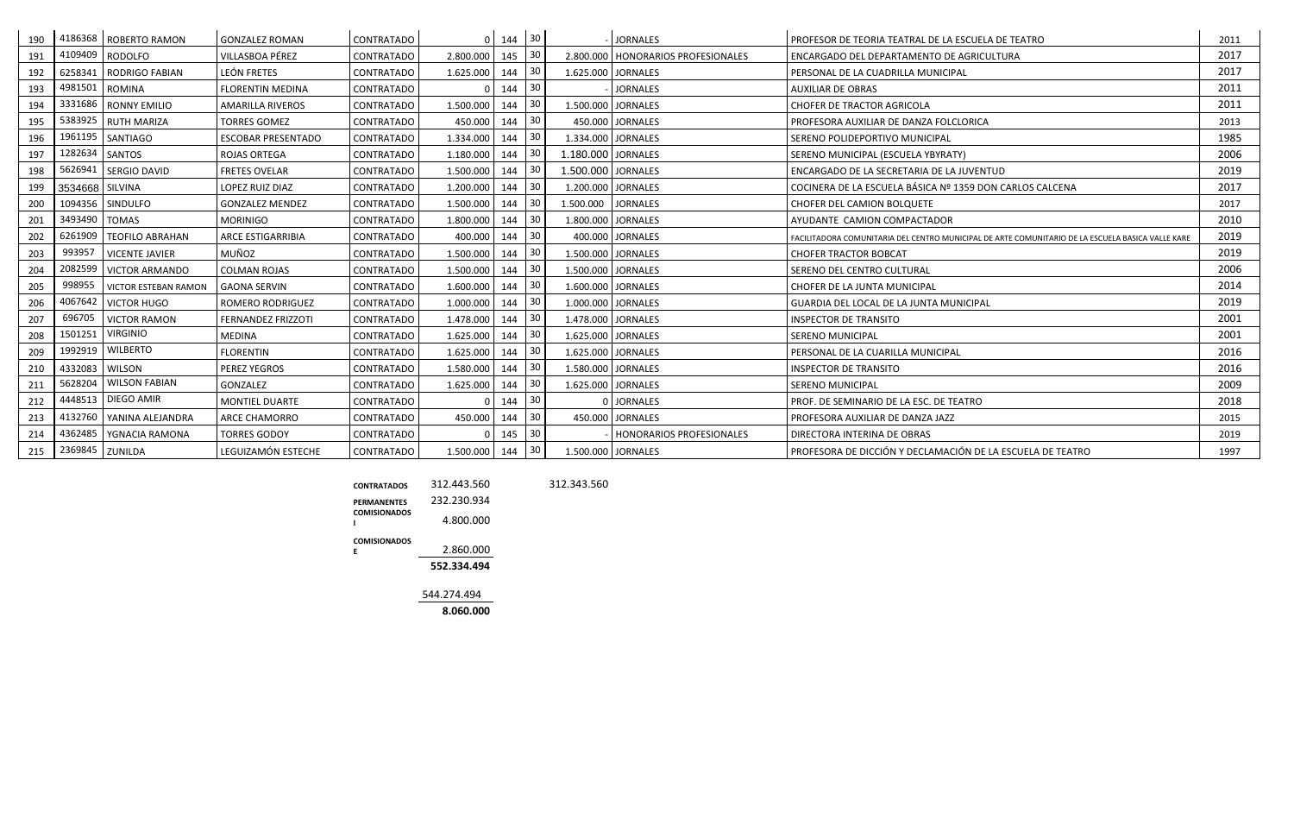| 190 |                 | 4186368   ROBERTO RAMON    | <b>GONZALEZ ROMAN</b>     | <b>CONTRATADO</b> |               | 0   144   30 |                 |                    | <b>JORNALES</b>                      | PROFESOR DE TEORIA TEATRAL DE LA ESCUELA DE TEATRO                                                | 2011 |
|-----|-----------------|----------------------------|---------------------------|-------------------|---------------|--------------|-----------------|--------------------|--------------------------------------|---------------------------------------------------------------------------------------------------|------|
| 191 | 4109409         | <b>RODOLFO</b>             | VILLASBOA PÉREZ           | <b>CONTRATADO</b> | 2.800.000     | 145          | 30              |                    | 2.800.000   HONORARIOS PROFESIONALES | ENCARGADO DEL DEPARTAMENTO DE AGRICULTURA                                                         | 2017 |
| 192 | 6258341         | <b>RODRIGO FABIAN</b>      | LEÓN FRETES               | CONTRATADO        | 1.625.000     | 144          | 30              |                    | 1.625.000 JORNALES                   | PERSONAL DE LA CUADRILLA MUNICIPAL                                                                | 2017 |
| 193 | 4981501         | <b>ROMINA</b>              | <b>FLORENTIN MEDINA</b>   | <b>CONTRATADO</b> | ŋ             | 144          | 30              |                    | <b>JORNALES</b>                      | <b>AUXILIAR DE OBRAS</b>                                                                          | 2011 |
| 194 |                 | 3331686   RONNY EMILIO     | AMARILLA RIVEROS          | CONTRATADO        | 1.500.000     | 144          | 30              |                    | 1.500.000 JORNALES                   | <b>CHOFER DE TRACTOR AGRICOLA</b>                                                                 | 2011 |
| 195 |                 | 5383925 RUTH MARIZA        | <b>TORRES GOMEZ</b>       | <b>CONTRATADO</b> | 450.000       | 144          | 30              |                    | 450.000 JORNALES                     | PROFESORA AUXILIAR DE DANZA FOLCLORICA                                                            | 2013 |
| 196 |                 | 1961195   SANTIAGO         | <b>ESCOBAR PRESENTADO</b> | CONTRATADO        | 1.334.000     | 144          | 30              |                    | 1.334.000 JORNALES                   | SERENO POLIDEPORTIVO MUNICIPAL                                                                    | 1985 |
| 197 | 1282634 SANTOS  |                            | <b>ROJAS ORTEGA</b>       | <b>CONTRATADO</b> | 1.180.000     | 144          | 30              | 1.180.000 JORNALES |                                      | SERENO MUNICIPAL (ESCUELA YBYRATY)                                                                | 2006 |
| 198 |                 | 5626941 SERGIO DAVID       | <b>FRETES OVELAR</b>      | CONTRATADO        | 1.500.000     | 144          | 30              | 1.500.000 JORNALES |                                      | ENCARGADO DE LA SECRETARIA DE LA JUVENTUD                                                         | 2019 |
| 199 | 3534668 SILVINA |                            | LOPEZ RUIZ DIAZ           | CONTRATADO        | 1.200.000     | 144          | 30              |                    | 1.200.000 JORNALES                   | COCINERA DE LA ESCUELA BÁSICA Nº 1359 DON CARLOS CALCENA                                          | 2017 |
| 200 |                 | 1094356 SINDULFO           | <b>GONZALEZ MENDEZ</b>    | <b>CONTRATADO</b> | 1.500.000     | 144          | 30              | 1.500.000 JORNALES |                                      | <b>CHOFER DEL CAMION BOLQUETE</b>                                                                 | 2017 |
| 201 | 3493490 TOMAS   |                            | <b>MORINIGO</b>           | <b>CONTRATADO</b> | 1.800.000     | 144          | 30              |                    | 1.800.000 JORNALES                   | AYUDANTE CAMION COMPACTADOR                                                                       | 2010 |
| 202 | 6261909         | <b>TEOFILO ABRAHAN</b>     | ARCE ESTIGARRIBIA         | CONTRATADO        | 400.000       | 144          | 30              |                    | 400.000 JORNALES                     | FACILITADORA COMUNITARIA DEL CENTRO MUNICIPAL DE ARTE COMUNITARIO DE LA ESCUELA BASICA VALLE KARE | 2019 |
| 203 | 993957          | <b>VICENTE JAVIER</b>      | MUÑOZ                     | <b>CONTRATADO</b> | 1.500.000     | 144          | 30              |                    | 1.500.000 JORNALES                   | <b>CHOFER TRACTOR BOBCAT</b>                                                                      | 2019 |
| 204 | 2082599         | <b>VICTOR ARMANDO</b>      | <b>COLMAN ROJAS</b>       | <b>CONTRATADO</b> | 1.500.000     | 144          | 30              |                    | 1.500.000 JORNALES                   | SERENO DEL CENTRO CULTURAL                                                                        | 2006 |
| 205 | 998955          | VICTOR ESTEBAN RAMON       | <b>GAONA SERVIN</b>       | <b>CONTRATADO</b> | 1.600.000     | 144          | 30              |                    | 1.600.000 JORNALES                   | CHOFER DE LA JUNTA MUNICIPAL                                                                      | 2014 |
| 206 | 4067642         | <b>VICTOR HUGO</b>         | <b>ROMERO RODRIGUEZ</b>   | CONTRATADO        | 1.000.000     | 144          | 30              |                    | 1.000.000 JORNALES                   | GUARDIA DEL LOCAL DE LA JUNTA MUNICIPAL                                                           | 2019 |
| 207 | 696705          | <b>VICTOR RAMON</b>        | <b>FERNANDEZ FRIZZOTI</b> | CONTRATADO        | 1.478.000     | 144          | 30              |                    | 1.478.000 JORNALES                   | <b>INSPECTOR DE TRANSITO</b>                                                                      | 2001 |
| 208 | 1501251         | <b>VIRGINIO</b>            | <b>MEDINA</b>             | CONTRATADO        | 1.625.000     | 144          | 30              |                    | 1.625.000 JORNALES                   | <b>SERENO MUNICIPAL</b>                                                                           | 2001 |
| 209 | 1992919         | <b>WILBERTO</b>            | <b>FLORENTIN</b>          | CONTRATADO        | 1.625.000     | 144          | 30              |                    | 1.625.000 JORNALES                   | PERSONAL DE LA CUARILLA MUNICIPAL                                                                 | 2016 |
| 210 | 4332083         | <b>WILSON</b>              | <b>PEREZ YEGROS</b>       | CONTRATADO        | 1.580.000     | 144          | 30              |                    | 1.580.000 JORNALES                   | <b>INSPECTOR DE TRANSITO</b>                                                                      | 2016 |
| 211 | 5628204         | <b>WILSON FABIAN</b>       | GONZALEZ                  | <b>CONTRATADO</b> | 1.625.000     | 144          | 30              |                    | 1.625.000 JORNALES                   | <b>SERENO MUNICIPAL</b>                                                                           | 2009 |
| 212 | 4448513         | DIEGO AMIR                 | <b>MONTIEL DUARTE</b>     | CONTRATADO        | O             | 144          | 30              |                    | 0 JORNALES                           | PROF. DE SEMINARIO DE LA ESC. DE TEATRO                                                           | 2018 |
| 213 |                 | 4132760   YANINA ALEJANDRA | <b>ARCE CHAMORRO</b>      | <b>CONTRATADO</b> | 450.000       | 144          | 30              |                    | 450.000 JORNALES                     | PROFESORA AUXILIAR DE DANZA JAZZ                                                                  | 2015 |
| 214 |                 | 4362485   YGNACIA RAMONA   | <b>TORRES GODOY</b>       | <b>CONTRATADO</b> | 0             | 145          | 30              |                    | HONORARIOS PROFESIONALES             | DIRECTORA INTERINA DE OBRAS                                                                       | 2019 |
| 215 | 2369845 ZUNILDA |                            | LEGUIZAMÓN ESTECHE        | CONTRATADO        | 1.500.000 144 |              | 30 <sup>1</sup> |                    | 1.500.000 JORNALES                   | PROFESORA DE DICCIÓN Y DECLAMACIÓN DE LA ESCUELA DE TEATRO                                        | 1997 |

| <b>CONTRATADOS</b>                        | 312,443.560 | 312.343.560 |
|-------------------------------------------|-------------|-------------|
| <b>PERMANENTES</b><br><b>COMISIONADOS</b> | 232.230.934 |             |
| ı                                         | 4.800.000   |             |
| <b>COMISIONADOS</b>                       |             |             |
| F                                         | 2.860.000   |             |
|                                           | 552.334.494 |             |
|                                           | 544.274.494 |             |
|                                           | 8.060.000   |             |